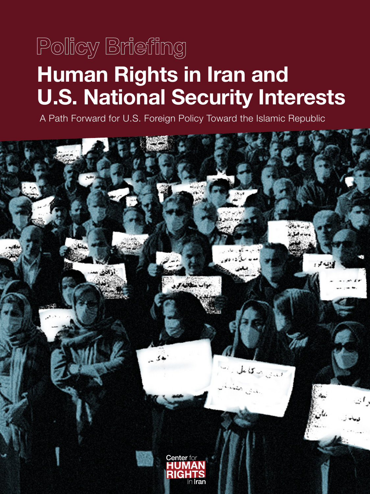# **Human Rights in Iran and U.S. National Security Interests Policy Briefing**

A Path Forward for U.S. Foreign Policy Toward the Islamic Republic

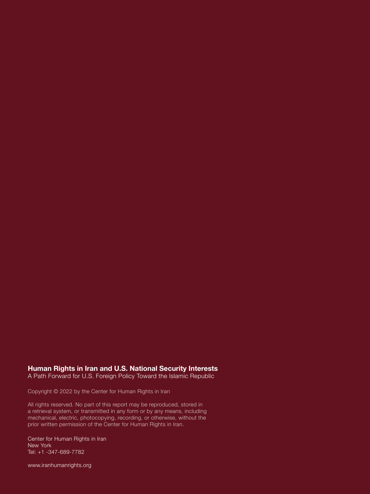### **Human Rights in Iran and U.S. National Security Interests**

A Path Forward for U.S. Foreign Policy Toward the Islamic Republic

Copyright © 2022 by the Center for Human Rights in Iran

All rights reserved. No part of this report may be reproduced, stored in a retrieval system, or transmitted in any form or by any means, including mechanical, electric, photocopying, recording, or otherwise, without the prior written permission of the Center for Human Rights in Iran.

Center for Human Rights in Iran New York Tel: +1 -347-689-7782

**Human Rights in Iran and U.S. National Security Interests** www.iranhumanrights.org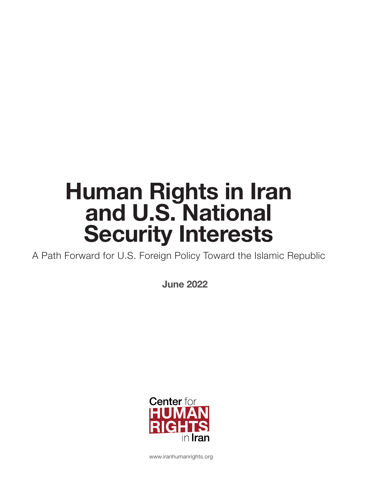# **Human Rights in Iran and U.S. National Security Interests**

A Path Forward for U.S. Foreign Policy Toward the Islamic Republic

**June 2022**



www.iranhumanrights.org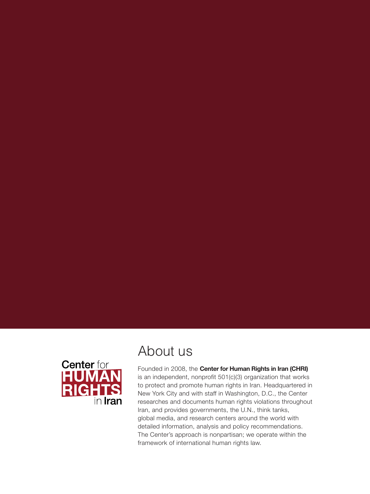

### About us

Founded in 2008, the **Center for Human Rights in Iran (CHRI)** is an independent, nonprofit 501(c)(3) organization that works to protect and promote human rights in Iran. Headquartered in New York City and with staff in Washington, D.C., the Center researches and documents human rights violations throughout Iran, and provides governments, the U.N., think tanks, global media, and research centers around the world with detailed information, analysis and policy recommendations. The Center's approach is nonpartisan; we operate within the framework of international human rights law.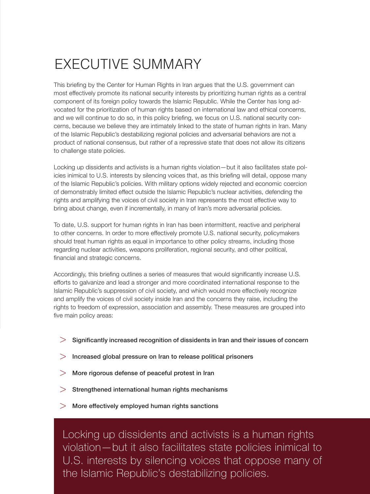# EXECUTIVE SUMMARY

This briefing by the Center for Human Rights in Iran argues that the U.S. government can most effectively promote its national security interests by prioritizing human rights as a central component of its foreign policy towards the Islamic Republic. While the Center has long advocated for the prioritization of human rights based on international law and ethical concerns, and we will continue to do so, in this policy briefing, we focus on U.S. national security concerns, because we believe they are intimately linked to the state of human rights in Iran. Many of the Islamic Republic's destabilizing regional policies and adversarial behaviors are not a product of national consensus, but rather of a repressive state that does not allow its citizens to challenge state policies.

Locking up dissidents and activists is a human rights violation—but it also facilitates state policies inimical to U.S. interests by silencing voices that, as this briefing will detail, oppose many of the Islamic Republic's policies. With military options widely rejected and economic coercion of demonstrably limited effect outside the Islamic Republic's nuclear activities, defending the rights and amplifying the voices of civil society in Iran represents the most effective way to bring about change, even if incrementally, in many of Iran's more adversarial policies.

To date, U.S. support for human rights in Iran has been intermittent, reactive and peripheral to other concerns. In order to more effectively promote U.S. national security, policymakers should treat human rights as equal in importance to other policy streams, including those regarding nuclear activities, weapons proliferation, regional security, and other political, financial and strategic concerns.

Accordingly, this briefing outlines a series of measures that would significantly increase U.S. efforts to galvanize and lead a stronger and more coordinated international response to the Islamic Republic's suppression of civil society, and which would more effectively recognize and amplify the voices of civil society inside Iran and the concerns they raise, including the rights to freedom of expression, association and assembly. These measures are grouped into five main policy areas:

- Significantly increased recognition of dissidents in Iran and their issues of concern  $>$
- $>$  Increased global pressure on Iran to release political prisoners
- More rigorous defense of peaceful protest in Iran  $>$
- Strengthened international human rights mechanisms  $>$
- More effectively employed human rights sanctions >

Locking up dissidents and activists is a human rights violation—but it also facilitates state policies inimical to U.S. interests by silencing voices that oppose many of the Islamic Republic's destabilizing policies.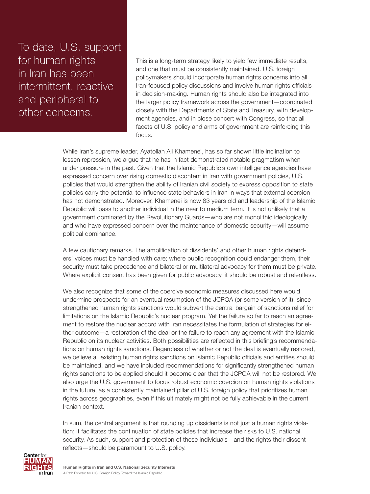To date, U.S. support for human rights in Iran has been intermittent, reactive and peripheral to other concerns.

This is a long-term strategy likely to yield few immediate results, and one that must be consistently maintained. U.S. foreign policymakers should incorporate human rights concerns into all Iran-focused policy discussions and involve human rights officials in decision-making. Human rights should also be integrated into the larger policy framework across the government—coordinated closely with the Departments of State and Treasury, with development agencies, and in close concert with Congress, so that all facets of U.S. policy and arms of government are reinforcing this focus.

While Iran's supreme leader, Ayatollah Ali Khamenei, has so far shown little inclination to lessen repression, we argue that he has in fact demonstrated notable pragmatism when under pressure in the past. Given that the Islamic Republic's own intelligence agencies have expressed concern over rising domestic discontent in Iran with government policies, U.S. policies that would strengthen the ability of Iranian civil society to express opposition to state policies carry the potential to influence state behaviors in Iran in ways that external coercion has not demonstrated. Moreover, Khamenei is now 83 years old and leadership of the Islamic Republic will pass to another individual in the near to medium term. It is not unlikely that a government dominated by the Revolutionary Guards—who are not monolithic ideologically and who have expressed concern over the maintenance of domestic security—will assume political dominance.

A few cautionary remarks. The amplification of dissidents' and other human rights defenders' voices must be handled with care; where public recognition could endanger them, their security must take precedence and bilateral or multilateral advocacy for them must be private. Where explicit consent has been given for public advocacy, it should be robust and relentless.

We also recognize that some of the coercive economic measures discussed here would undermine prospects for an eventual resumption of the JCPOA (or some version of it), since strengthened human rights sanctions would subvert the central bargain of sanctions relief for limitations on the Islamic Republic's nuclear program. Yet the failure so far to reach an agreement to restore the nuclear accord with Iran necessitates the formulation of strategies for either outcome—a restoration of the deal or the failure to reach any agreement with the Islamic Republic on its nuclear activities. Both possibilities are reflected in this briefing's recommendations on human rights sanctions. Regardless of whether or not the deal is eventually restored, we believe all existing human rights sanctions on Islamic Republic officials and entities should be maintained, and we have included recommendations for significantly strengthened human rights sanctions to be applied should it become clear that the JCPOA will not be restored. We also urge the U.S. government to focus robust economic coercion on human rights violations in the future, as a consistently maintained pillar of U.S. foreign policy that prioritizes human rights across geographies, even if this ultimately might not be fully achievable in the current Iranian context.

In sum, the central argument is that rounding up dissidents is not just a human rights violation; it facilitates the continuation of state policies that increase the risks to U.S. national security. As such, support and protection of these individuals—and the rights their dissent reflects—should be paramount to U.S. policy.

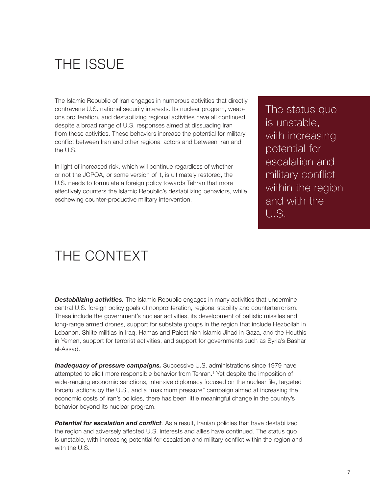### THE ISSUE

The Islamic Republic of Iran engages in numerous activities that directly contravene U.S. national security interests. Its nuclear program, weapons proliferation, and destabilizing regional activities have all continued despite a broad range of U.S. responses aimed at dissuading Iran from these activities. These behaviors increase the potential for military conflict between Iran and other regional actors and between Iran and the U.S.

In light of increased risk, which will continue regardless of whether or not the JCPOA, or some version of it, is ultimately restored, the U.S. needs to formulate a foreign policy towards Tehran that more effectively counters the Islamic Republic's destabilizing behaviors, while eschewing counter-productive military intervention.

The status quo is unstable, with increasing potential for escalation and military conflict within the region and with the U.S.

### THE CONTEXT

**Destabilizing activities.** The Islamic Republic engages in many activities that undermine central U.S. foreign policy goals of nonproliferation, regional stability and counterterrorism. These include the government's nuclear activities, its development of ballistic missiles and long-range armed drones, support for substate groups in the region that include Hezbollah in Lebanon, Shiite militias in Iraq, Hamas and Palestinian Islamic Jihad in Gaza, and the Houthis in Yemen, support for terrorist activities, and support for governments such as Syria's Bashar al-Assad.

*Inadequacy of pressure campaigns.* Successive U.S. administrations since 1979 have attempted to elicit more responsible behavior from Tehran.[1](#page-19-0) Yet despite the imposition of wide-ranging economic sanctions, intensive diplomacy focused on the nuclear file, targeted forceful actions by the U.S., and a "maximum pressure" campaign aimed at increasing the economic costs of Iran's policies, there has been little meaningful change in the country's behavior beyond its nuclear program.

**Potential for escalation and conflict**. As a result, Iranian policies that have destabilized the region and adversely affected U.S. interests and allies have continued. The status quo is unstable, with increasing potential for escalation and military conflict within the region and with the U.S.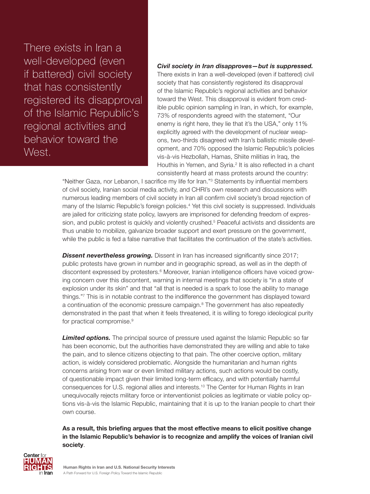There exists in Iran a well-developed (even if battered) civil society that has consistently registered its disapproval of the Islamic Republic's regional activities and behavior toward the West.

### *Civil society in Iran disapproves—but is suppressed.*

There exists in Iran a well-developed (even if battered) civil society that has consistently registered its disapproval of the Islamic Republic's regional activities and behavior toward the West. This disapproval is evident from credible public opinion sampling in Iran, in which, for example, 73% of respondents agreed with the statement, "Our enemy is right here, they lie that it's the USA," only 11% explicitly agreed with the development of nuclear weapons, two-thirds disagreed with Iran's ballistic missile development, and 70% opposed the Islamic Republic's policies vis-à-vis Hezbollah, Hamas, Shiite militias in Iraq, the Houthis in Yemen, and Syria.<sup>2</sup> It is also reflected in a chant consistently heard at mass protests around the country:

"Neither Gaza, nor Lebanon, I sacrifice my life for Iran."[3](#page-19-0) Statements by influential members of civil society, Iranian social media activity, and CHRI's own research and discussions with numerous leading members of civil society in Iran all confirm civil society's broad rejection of many of the Islamic Republic's foreign policies.<sup>[4](#page-20-0)</sup> Yet this civil society is suppressed. Individuals are jailed for criticizing state policy, lawyers are imprisoned for defending freedom of expression, and public protest is quickly and violently crushed.<sup>5</sup> Peaceful activists and dissidents are thus unable to mobilize, galvanize broader support and exert pressure on the government, while the public is fed a false narrative that facilitates the continuation of the state's activities.

**Dissent nevertheless growing.** Dissent in Iran has increased significantly since 2017; public protests have grown in number and in geographic spread, as well as in the depth of discontent expressed by protesters.<sup>[6](#page-21-0)</sup> Moreover, Iranian intelligence officers have voiced growing concern over this discontent, warning in internal meetings that society is "in a state of explosion under its skin" and that "all that is needed is a spark to lose the ability to manage things."[7](#page-22-0) This is in notable contrast to the indifference the government has displayed toward a continuation of the economic pressure campaign.<sup>[8](#page-23-0)</sup> The government has also repeatedly demonstrated in the past that when it feels threatened, it is willing to forego ideological purity for practical compromise.[9](#page-23-0)

**Limited options.** The principal source of pressure used against the Islamic Republic so far has been economic, but the authorities have demonstrated they are willing and able to take the pain, and to silence citizens objecting to that pain. The other coercive option, military action, is widely considered problematic. Alongside the humanitarian and human rights concerns arising from war or even limited military actions, such actions would be costly, of questionable impact given their limited long-term efficacy, and with potentially harmful consequences for U.S. regional allies and interests.<sup>10</sup> The Center for Human Rights in Iran unequivocally rejects military force or interventionist policies as legitimate or viable policy options vis-à-vis the Islamic Republic, maintaining that it is up to the Iranian people to chart their own course.

**As a result, this briefing argues that the most effective means to elicit positive change in the Islamic Republic's behavior is to recognize and amplify the voices of Iranian civil society**.

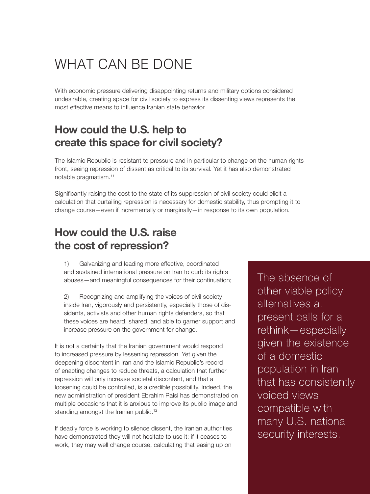### WHAT CAN BE DONE

With economic pressure delivering disappointing returns and military options considered undesirable, creating space for civil society to express its dissenting views represents the most effective means to influence Iranian state behavior.

### **How could the U.S. help to create this space for civil society?**

The Islamic Republic is resistant to pressure and in particular to change on the human rights front, seeing repression of dissent as critical to its survival. Yet it has also demonstrated notable pragmatism[.11](#page-24-0)

Significantly raising the cost to the state of its suppression of civil society could elicit a calculation that curtailing repression is necessary for domestic stability, thus prompting it to change course—even if incrementally or marginally—in response to its own population.

### **How could the U.S. raise the cost of repression?**

1) Galvanizing and leading more effective, coordinated and sustained international pressure on Iran to curb its rights abuses—and meaningful consequences for their continuation;

2) Recognizing and amplifying the voices of civil society inside Iran, vigorously and persistently, especially those of dissidents, activists and other human rights defenders, so that these voices are heard, shared, and able to garner support and increase pressure on the government for change.

It is not a certainty that the Iranian government would respond to increased pressure by lessening repression. Yet given the deepening discontent in Iran and the Islamic Republic's record of enacting changes to reduce threats, a calculation that further repression will only increase societal discontent, and that a loosening could be controlled, is a credible possibility. Indeed, the new administration of president Ebrahim Raisi has demonstrated on multiple occasions that it is anxious to improve its public image and standing amongst the Iranian public.<sup>[12](#page-24-0)</sup>

If deadly force is working to silence dissent, the Iranian authorities have demonstrated they will not hesitate to use it; if it ceases to work, they may well change course, calculating that easing up on

The absence of other viable policy alternatives at present calls for a rethink—especially given the existence of a domestic population in Iran that has consistently voiced views compatible with many U.S. national security interests.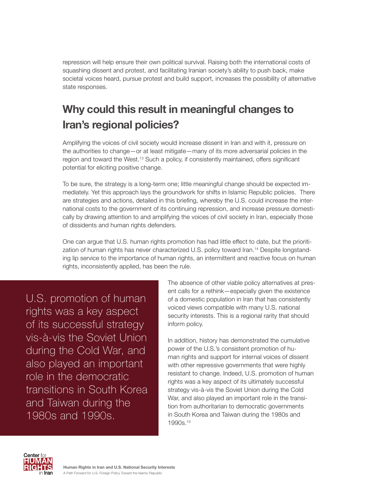repression will help ensure their own political survival. Raising both the international costs of squashing dissent and protest, and facilitating Iranian society's ability to push back, make societal voices heard, pursue protest and build support, increases the possibility of alternative state responses.

### **Why could this result in meaningful changes to Iran's regional policies?**

Amplifying the voices of civil society would increase dissent in Iran and with it, pressure on the authorities to change—or at least mitigate—many of its more adversarial policies in the region and toward the West.[13](#page-24-0) Such a policy, if consistently maintained, offers significant potential for eliciting positive change.

To be sure, the strategy is a long-term one; little meaningful change should be expected immediately. Yet this approach lays the groundwork for shifts in Islamic Republic policies. There are strategies and actions, detailed in this briefing, whereby the U.S. could increase the international costs to the government of its continuing repression, and increase pressure domestically by drawing attention to and amplifying the voices of civil society in Iran, especially those of dissidents and human rights defenders.

One can argue that U.S. human rights promotion has had little effect to date, but the prioritization of human rights has never characterized U.S. policy toward Iran[.14](#page-24-0) Despite longstanding lip service to the importance of human rights, an intermittent and reactive focus on human rights, inconsistently applied, has been the rule.

U.S. promotion of human rights was a key aspect of its successful strategy vis-à-vis the Soviet Union during the Cold War, and also played an important role in the democratic transitions in South Korea and Taiwan during the 1980s and 1990s.

The absence of other viable policy alternatives at present calls for a rethink—especially given the existence of a domestic population in Iran that has consistently voiced views compatible with many U.S. national security interests. This is a regional rarity that should inform policy.

In addition, history has demonstrated the cumulative power of the U.S.'s consistent promotion of human rights and support for internal voices of dissent with other repressive governments that were highly resistant to change. Indeed, U.S. promotion of human rights was a key aspect of its ultimately successful strategy vis-à-vis the Soviet Union during the Cold War, and also played an important role in the transition from authoritarian to democratic governments in South Korea and Taiwan during the 1980s and 1990s[.15](#page-24-0)

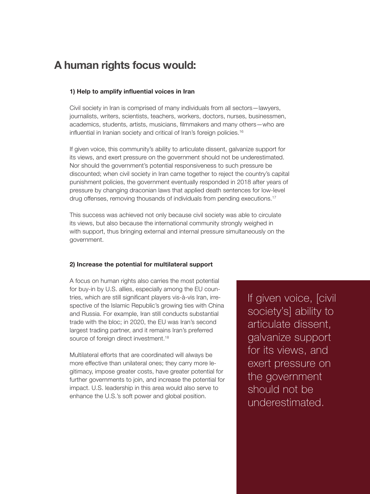### **A human rights focus would:**

#### **1) Help to amplify influential voices in Iran**

Civil society in Iran is comprised of many individuals from all sectors—lawyers, journalists, writers, scientists, teachers, workers, doctors, nurses, businessmen, academics, students, artists, musicians, filmmakers and many others—who are influential in Iranian society and critical of Iran's foreign policies.<sup>[16](#page-25-0)</sup>

If given voice, this community's ability to articulate dissent, galvanize support for its views, and exert pressure on the government should not be underestimated. Nor should the government's potential responsiveness to such pressure be discounted; when civil society in Iran came together to reject the country's capital punishment policies, the government eventually responded in 2018 after years of pressure by changing draconian laws that applied death sentences for low-level drug offenses, removing thousands of individuals from pending executions.<sup>[17](#page-25-0)</sup>

This success was achieved not only because civil society was able to circulate its views, but also because the international community strongly weighed in with support, thus bringing external and internal pressure simultaneously on the government.

#### **2) Increase the potential for multilateral support**

A focus on human rights also carries the most potential for buy-in by U.S. allies, especially among the EU countries, which are still significant players vis-à-vis Iran, irrespective of the Islamic Republic's growing ties with China and Russia. For example, Iran still conducts substantial trade with the bloc; in 2020, the EU was Iran's second largest trading partner, and it remains Iran's preferred source of foreign direct investment.<sup>[18](#page-26-0)</sup>

Multilateral efforts that are coordinated will always be more effective than unilateral ones; they carry more legitimacy, impose greater costs, have greater potential for further governments to join, and increase the potential for impact. U.S. leadership in this area would also serve to enhance the U.S.'s soft power and global position.

If given voice, [civil society's] ability to articulate dissent, galvanize support for its views, and exert pressure on the government should not be underestimated.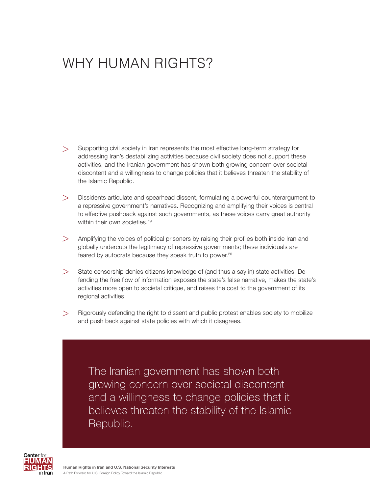## WHY HUMAN RIGHTS?

- Supporting civil society in Iran represents the most effective long-term strategy for addressing Iran's destabilizing activities because civil society does not support these activities, and the Iranian government has shown both growing concern over societal discontent and a willingness to change policies that it believes threaten the stability of the Islamic Republic.  $>$
- Dissidents articulate and spearhead dissent, formulating a powerful counterargument to a repressive government's narratives. Recognizing and amplifying their voices is central to effective pushback against such governments, as these voices carry great authority within their own societies.<sup>[19](#page-26-0)</sup>  $\geq$
- Amplifying the voices of political prisoners by raising their profiles both inside Iran and globally undercuts the legitimacy of repressive governments; these individuals are feared by autocrats because they speak truth to power.<sup>[20](#page-26-0)</sup>  $>$
- State censorship denies citizens knowledge of (and thus a say in) state activities. Defending the free flow of information exposes the state's false narrative, makes the state's activities more open to societal critique, and raises the cost to the government of its regional activities.  $>$
- Rigorously defending the right to dissent and public protest enables society to mobilize and push back against state policies with which it disagrees.  $>$

The Iranian government has shown both growing concern over societal discontent and a willingness to change policies that it believes threaten the stability of the Islamic Republic.

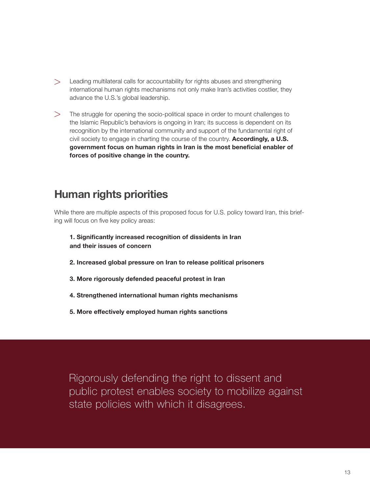- > Leading multilateral calls for accountability for rights abuses and strengthening international human rights mechanisms not only make Iran's activities costlier, they advance the U.S.'s global leadership.
- $>$  The struggle for opening the socio-political space in order to mount challenges to the Islamic Republic's behaviors is ongoing in Iran; its success is dependent on its recognition by the international community and support of the fundamental right of civil society to engage in charting the course of the country. **Accordingly, a U.S. government focus on human rights in Iran is the most beneficial enabler of forces of positive change in the country.**

### **Human rights priorities**

While there are multiple aspects of this proposed focus for U.S. policy toward Iran, this briefing will focus on five key policy areas:

- **1. Significantly increased recognition of dissidents in Iran and their issues of concern**
- **2. Increased global pressure on Iran to release political prisoners**
- **3. More rigorously defended peaceful protest in Iran**
- **4. Strengthened international human rights mechanisms**
- **5. More effectively employed human rights sanctions**

Rigorously defending the right to dissent and public protest enables society to mobilize against state policies with which it disagrees.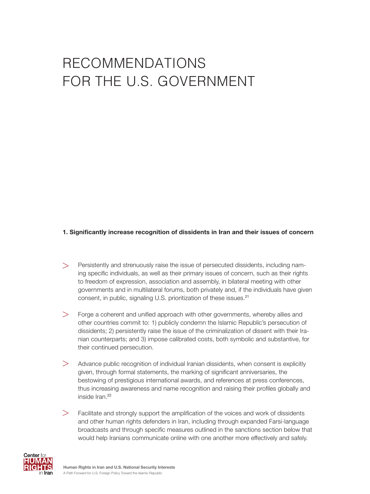# RECOMMENDATIONS FOR THE U.S. GOVERNMENT

#### **1. Significantly increase recognition of dissidents in Iran and their issues of concern**

- Persistently and strenuously raise the issue of persecuted dissidents, including naming specific individuals, as well as their primary issues of concern, such as their rights to freedom of expression, association and assembly, in bilateral meeting with other governments and in multilateral forums, both privately and, if the individuals have given consent, in public, signaling U.S. prioritization of these issues.<sup>[21](#page-27-0)</sup>  $\geq$
- Forge a coherent and unified approach with other governments, whereby allies and other countries commit to: 1) publicly condemn the Islamic Republic's persecution of dissidents; 2) persistently raise the issue of the criminalization of dissent with their Iranian counterparts; and 3) impose calibrated costs, both symbolic and substantive, for their continued persecution.  $>$
- Advance public recognition of individual Iranian dissidents, when consent is explicitly given, through formal statements, the marking of significant anniversaries, the bestowing of prestigious international awards, and references at press conferences, thus increasing awareness and name recognition and raising their profiles globally and inside Iran.<sup>[22](#page-27-0)</sup>  $>$
- Facilitate and strongly support the amplification of the voices and work of dissidents and other human rights defenders in Iran, including through expanded Farsi-language broadcasts and through specific measures outlined in the sanctions section below that would help Iranians communicate online with one another more effectively and safely.  $>$

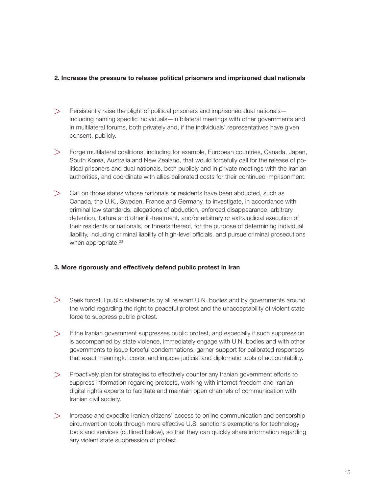#### **2. Increase the pressure to release political prisoners and imprisoned dual nationals**

- Persistently raise the plight of political prisoners and imprisoned dual nationals including naming specific individuals—in bilateral meetings with other governments and in multilateral forums, both privately and, if the individuals' representatives have given consent, publicly.  $>$
- Forge multilateral coalitions, including for example, European countries, Canada, Japan, South Korea, Australia and New Zealand, that would forcefully call for the release of political prisoners and dual nationals, both publicly and in private meetings with the Iranian authorities, and coordinate with allies calibrated costs for their continued imprisonment.  $>$
- $>$  Call on those states whose nationals or residents have been abducted, such as Canada, the U.K., Sweden, France and Germany, to investigate, in accordance with criminal law standards, allegations of abduction, enforced disappearance, arbitrary detention, torture and other ill-treatment, and/or arbitrary or extrajudicial execution of their residents or nationals, or threats thereof, for the purpose of determining individual liability, including criminal liability of high-level officials, and pursue criminal prosecutions when appropriate.<sup>[23](#page-27-0)</sup>

#### **3. More rigorously and effectively defend public protest in Iran**

- Seek forceful public statements by all relevant U.N. bodies and by governments around the world regarding the right to peaceful protest and the unacceptability of violent state force to suppress public protest.  $>$
- $>$  If the Iranian government suppresses public protest, and especially if such suppression is accompanied by state violence, immediately engage with U.N. bodies and with other governments to issue forceful condemnations, garner support for calibrated responses that exact meaningful costs, and impose judicial and diplomatic tools of accountability.
- Proactively plan for strategies to effectively counter any Iranian government efforts to suppress information regarding protests, working with internet freedom and Iranian digital rights experts to facilitate and maintain open channels of communication with Iranian civil society.  $>$
- Increase and expedite Iranian citizens' access to online communication and censorship >circumvention tools through more effective U.S. sanctions exemptions for technology tools and services (outlined below), so that they can quickly share information regarding any violent state suppression of protest.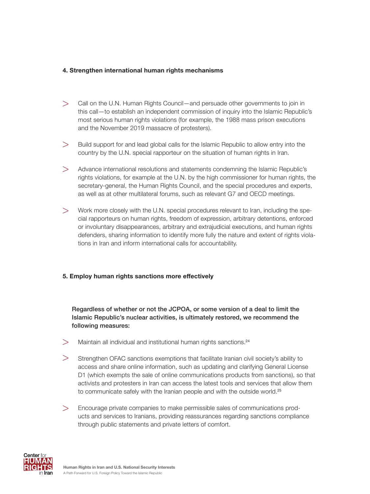### **4. Strengthen international human rights mechanisms**

- Call on the U.N. Human Rights Council—and persuade other governments to join in this call—to establish an independent commission of inquiry into the Islamic Republic's most serious human rights violations (for example, the 1988 mass prison executions and the November 2019 massacre of protesters).  $\geq$
- Build support for and lead global calls for the Islamic Republic to allow entry into the country by the U.N. special rapporteur on the situation of human rights in Iran.  $>$
- Advance international resolutions and statements condemning the Islamic Republic's rights violations, for example at the U.N. by the high commissioner for human rights, the secretary-general, the Human Rights Council, and the special procedures and experts, as well as at other multilateral forums, such as relevant G7 and OECD meetings.  $>$
- Work more closely with the U.N. special procedures relevant to Iran, including the spe-> cial rapporteurs on human rights, freedom of expression, arbitrary detentions, enforced or involuntary disappearances, arbitrary and extrajudicial executions, and human rights defenders, sharing information to identify more fully the nature and extent of rights violations in Iran and inform international calls for accountability.

#### **5. Employ human rights sanctions more effectively**

Regardless of whether or not the JCPOA, or some version of a deal to limit the Islamic Republic's nuclear activities, is ultimately restored, we recommend the following measures:

- $>$  Maintain all individual and institutional human rights sanctions.<sup>[24](#page-27-0)</sup>
- $>$  Strengthen OFAC sanctions exemptions that facilitate Iranian civil society's ability to access and share online information, such as updating and clarifying General License D1 (which exempts the sale of online communications products from sanctions), so that activists and protesters in Iran can access the latest tools and services that allow them to communicate safely with the Iranian people and with the outside world.<sup>[25](#page-27-0)</sup>
- Encourage private companies to make permissible sales of communications prod->ucts and services to Iranians, providing reassurances regarding sanctions compliance through public statements and private letters of comfort.

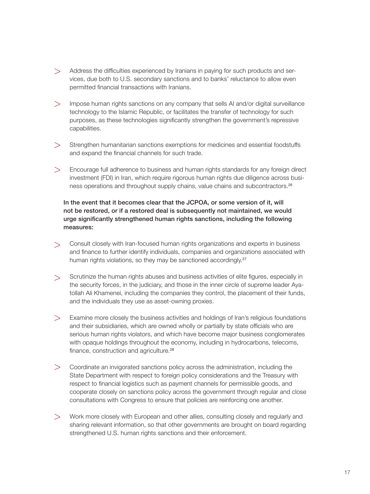- $>$  Address the difficulties experienced by Iranians in paying for such products and services, due both to U.S. secondary sanctions and to banks' reluctance to allow even permitted financial transactions with Iranians.
- Impose human rights sanctions on any company that sells AI and/or digital surveillance technology to the Islamic Republic, or facilitates the transfer of technology for such purposes, as these technologies significantly strengthen the government's repressive capabilities.  $>$
- Strengthen humanitarian sanctions exemptions for medicines and essential foodstuffs and expand the financial channels for such trade.  $>$
- Encourage full adherence to business and human rights standards for any foreign direct investment (FDI) in Iran, which require rigorous human rights due diligence across business operations and throughout supply chains, value chains and subcontractors.[26](#page-27-0)  $>$

### In the event that it becomes clear that the JCPOA, or some version of it, will not be restored, or if a restored deal is subsequently not maintained, we would urge significantly strengthened human rights sanctions, including the following measures:

- Consult closely with Iran-focused human rights organizations and experts in business > and finance to further identify individuals, companies and organizations associated with human rights violations, so they may be sanctioned accordingly.<sup>[27](#page-27-0)</sup>
- Scrutinize the human rights abuses and business activities of elite figures, especially in the security forces, in the judiciary, and those in the inner circle of supreme leader Ayatollah Ali Khamenei, including the companies they control, the placement of their funds, and the individuals they use as asset-owning proxies.  $\geq$
- Examine more closely the business activities and holdings of Iran's religious foundations > and their subsidiaries, which are owned wholly or partially by state officials who are serious human rights violators, and which have become major business conglomerates with opaque holdings throughout the economy, including in hydrocarbons, telecoms, finance, construction and agriculture.[28](#page-28-0)
- Coordinate an invigorated sanctions policy across the administration, including the State Department with respect to foreign policy considerations and the Treasury with respect to financial logistics such as payment channels for permissible goods, and cooperate closely on sanctions policy across the government through regular and close consultations with Congress to ensure that policies are reinforcing one another.  $>$
- Work more closely with European and other allies, consulting closely and regularly and >sharing relevant information, so that other governments are brought on board regarding strengthened U.S. human rights sanctions and their enforcement.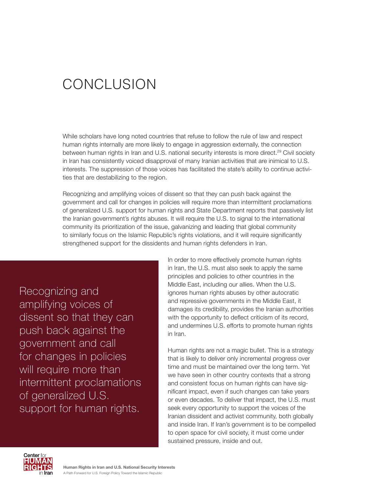# **CONCLUSION**

While scholars have long noted countries that refuse to follow the rule of law and respect human rights internally are more likely to engage in aggression externally, the connection between human rights in Iran and U.S. national security interests is more direct.<sup>29</sup> Civil society in Iran has consistently voiced disapproval of many Iranian activities that are inimical to U.S. interests. The suppression of those voices has facilitated the state's ability to continue activities that are destabilizing to the region.

Recognizing and amplifying voices of dissent so that they can push back against the government and call for changes in policies will require more than intermittent proclamations of generalized U.S. support for human rights and State Department reports that passively list the Iranian government's rights abuses. It will require the U.S. to signal to the international community its prioritization of the issue, galvanizing and leading that global community to similarly focus on the Islamic Republic's rights violations, and it will require significantly strengthened support for the dissidents and human rights defenders in Iran.

Recognizing and amplifying voices of dissent so that they can push back against the government and call for changes in policies will require more than intermittent proclamations of generalized U.S. support for human rights.

In order to more effectively promote human rights in Iran, the U.S. must also seek to apply the same principles and policies to other countries in the Middle East, including our allies. When the U.S. ignores human rights abuses by other autocratic and repressive governments in the Middle East, it damages its credibility, provides the Iranian authorities with the opportunity to deflect criticism of its record, and undermines U.S. efforts to promote human rights in Iran.

Human rights are not a magic bullet. This is a strategy that is likely to deliver only incremental progress over time and must be maintained over the long term. Yet we have seen in other country contexts that a strong and consistent focus on human rights can have significant impact, even if such changes can take years or even decades. To deliver that impact, the U.S. must seek every opportunity to support the voices of the Iranian dissident and activist community, both globally and inside Iran. If Iran's government is to be compelled to open space for civil society, it must come under sustained pressure, inside and out.

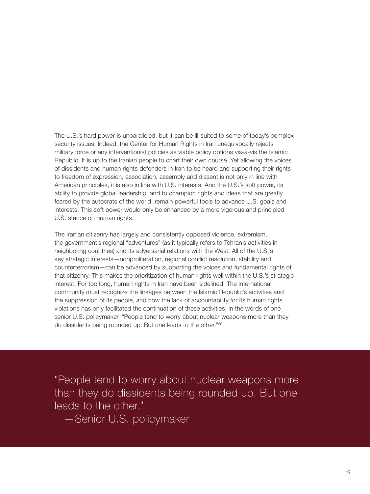The U.S.'s hard power is unparalleled, but it can be ill-suited to some of today's complex security issues. Indeed, the Center for Human Rights in Iran unequivocally rejects military force or any interventionist policies as viable policy options vis-à-vis the Islamic Republic. It is up to the Iranian people to chart their own course. Yet allowing the voices of dissidents and human rights defenders in Iran to be heard and supporting their rights to freedom of expression, association, assembly and dissent is not only in line with American principles, it is also in line with U.S. interests. And the U.S.'s soft power, its ability to provide global leadership, and to champion rights and ideas that are greatly feared by the autocrats of the world, remain powerful tools to advance U.S. goals and interests. This soft power would only be enhanced by a more vigorous and principled U.S. stance on human rights.

The Iranian citizenry has largely and consistently opposed violence, extremism, the government's regional "adventures" (as it typically refers to Tehran's activities in neighboring countries) and its adversarial relations with the West. All of the U.S.'s key strategic interests—nonproliferation, regional conflict resolution, stability and counterterrorism—can be advanced by supporting the voices and fundamental rights of that citizenry. This makes the prioritization of human rights well within the U.S.'s strategic interest. For too long, human rights in Iran have been sidelined. The international community must recognize the linkages between the Islamic Republic's activities and the suppression of its people, and how the lack of accountability for its human rights violations has only facilitated the continuation of these activities. In the words of one senior U.S. policymaker, "People tend to worry about nuclear weapons more than they do dissidents being rounded up. But one leads to the other."[30](#page-28-0)

"People tend to worry about nuclear weapons more than they do dissidents being rounded up. But one leads to the other."

—Senior U.S. policymaker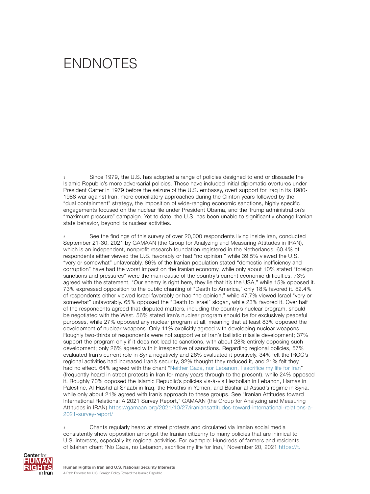## <span id="page-19-0"></span>ENDNOTES

Since 1979, the U.S. has adopted a range of policies designed to end or dissuade the Islamic Republic's more adversarial policies. These have included initial diplomatic overtures under President Carter in 1979 before the seizure of the U.S. embassy, overt support for Iraq in its 1980- 1988 war against Iran, more conciliatory approaches during the Clinton years followed by the "dual containment" strategy, the imposition of wide-ranging economic sanctions, highly specific engagements focused on the nuclear file under President Obama, and the Trump administration's "maximum pressure" campaign. Yet to date, the U.S. has been unable to significantly change Iranian state behavior, beyond its nuclear activities.

2 See the findings of this survey of over 20,000 respondents living inside Iran, conducted September 21-30, 2021 by GAMAAN (the Group for Analyzing and Measuring Attitudes in IRAN), which is an independent, nonprofit research foundation registered in the Netherlands: 60.4% of respondents either viewed the U.S. favorably or had "no opinion," while 39.5% viewed the U.S. "very or somewhat" unfavorably. 86% of the Iranian population stated "domestic inefficiency and corruption" have had the worst impact on the Iranian economy, while only about 10% stated "foreign sanctions and pressures" were the main cause of the country's current economic difficulties. 73% agreed with the statement, "Our enemy is right here, they lie that it's the USA," while 15% opposed it. 73% expressed opposition to the public chanting of "Death to America," only 18% favored it. 52.4% of respondents either viewed Israel favorably or had "no opinion," while 47.7% viewed Israel "very or somewhat" unfavorably. 65% opposed the "Death to Israel" slogan, while 23% favored it. Over half of the respondents agreed that disputed matters, including the country's nuclear program, should be negotiated with the West. 56% stated Iran's nuclear program should be for exclusively peaceful purposes, while 27% opposed any nuclear program at all, meaning that at least 83% opposed the development of nuclear weapons. Only 11% explicitly agreed with developing nuclear weapons. Roughly two-thirds of respondents were not supportive of Iran's ballistic missile development; 37% support the program only if it does not lead to sanctions, with about 28% entirely opposing such development; only 26% agreed with it irrespective of sanctions. Regarding regional policies, 57% evaluated Iran's current role in Syria negatively and 26% evaluated it positively. 34% felt the IRGC's regional activities had increased Iran's security, 32% thought they reduced it, and 21% felt they had no effect. 64% agreed with the chant ["Neither Gaza, nor Lebanon, I sacrifice my life for Iran](https://www.voanews.com/a/middle-east_voa-news-iran_iran-protests-spread-tehran-which-sees-biggest-anti-government-march-18/6208757.html)" (frequently heard in street protests in Iran for many years through to the present), while 24% opposed it. Roughly 70% opposed the Islamic Republic's policies vis-à-vis Hezbollah in Lebanon, Hamas in Palestine, Al-Hashd al-Shaabi in Iraq, the Houthis in Yemen, and Bashar al-Assad's regime in Syria, while only about 21% agreed with Iran's approach to these groups. See "Iranian Attitudes toward International Relations: A 2021 Survey Report," GAMAAN (the Group for Analyzing and Measuring Attitudes in IRAN) [https://gamaan.org/2021/10/27/iraniansattitudes-toward-international-relations-a-](https://gamaan.org/2021/10/27/iraniansattitudes-toward-international-relations-a-2021-survey-report/)[2021-survey-report/](https://gamaan.org/2021/10/27/iraniansattitudes-toward-international-relations-a-2021-survey-report/)

Chants regularly heard at street protests and circulated via Iranian social media consistently show opposition amongst the Iranian citizenry to many policies that are inimical to U.S. interests, especially its regional activities. For example: Hundreds of farmers and residents of Isfahan chant "No Gaza, no Lebanon, sacrifice my life for Iran," November 20, 2021 [https://t.](https://t.me/FreedoMessenger/85097)

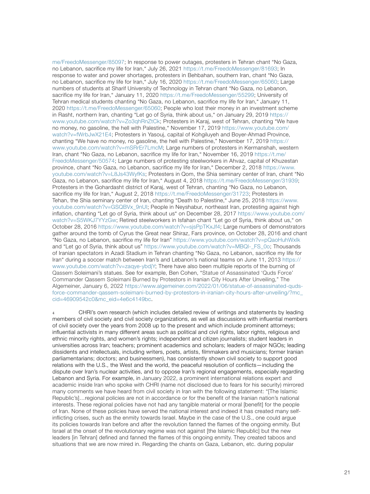<span id="page-20-0"></span>[me/FreedoMessenger/85097;](https://t.me/FreedoMessenger/85097) In response to power outages, protesters in Tehran chant "No Gaza, no Lebanon, sacrifice my life for Iran," July 26, 2021 [https://t.me/FreedoMessenger/81693;](https://t.me/FreedoMessenger/81693) In response to water and power shortages, protesters in Behbahan, southern Iran, chant "No Gaza, no Lebanon, sacrifice my life for Iran," July 16, 2020 [https://t.me/FreedoMessenger/65060;](https://t.me/FreedoMessenger/65060) Large numbers of students at Sharif University of Technology in Tehran chant "No Gaza, no Lebanon, sacrifice my life for Iran," January 11, 2020 [https://t.me/FreedoMessenger/55299;](https://t.me/FreedoMessenger/55299) University of Tehran medical students chanting "No Gaza, no Lebanon, sacrifice my life for Iran," January 11, 2020 <https://t.me/FreedoMessenger/65060>; People who lost their money in an investment scheme in Rasht, northern Iran, chanting "Let go of Syria, think about us," on January 29, 2019 [https://](https://www.youtube.com/watch?v=Zo3qhRnZtCk) [www.youtube.com/watch?v=Zo3qhRnZtCk](https://www.youtube.com/watch?v=Zo3qhRnZtCk); Protesters in Karaj, west of Tehran, chanting "We have no money, no gasoline, the hell with Palestine," November 17, 2019 [https://www.youtube.com/](https://www.youtube.com/watch?v=fWrbJwX21E4) [watch?v=fWrbJwX21E4;](https://www.youtube.com/watch?v=fWrbJwX21E4) Protesters in Yasouj, capital of Kohgiluyeh and Boyer-Ahmad Province, chanting "We have no money, no gasoline, the hell with Palestine," November 17, 2019 [https://](https://www.youtube.com/watch?v=mSRrEr7LmcM) [www.youtube.com/watch?v=mSRrEr7LmcM;](https://www.youtube.com/watch?v=mSRrEr7LmcM) Large numbers of protesters in Kermanshah, western Iran, chant "No Gaza, no Lebanon, sacrifice my life for Iran," November 16, 2019 [https://t.me/](https://t.me/FreedoMessenger/50574) [FreedoMessenger/50574;](https://t.me/FreedoMessenger/50574) Large numbers of protesting steelworkers in Ahvaz, capital of Khuzestan province, chant "No Gaza, no Lebanon, sacrifice my life for Iran," December 2, 2018 [https://www.](https://www.youtube.com/watch?v=L8Js43WyfKs) [youtube.com/watch?v=L8Js43WyfKs;](https://www.youtube.com/watch?v=L8Js43WyfKs) Protesters in Qom, the Shia seminary center of Iran, chant "No Gaza, no Lebanon, sacrifice my life for Iran," August 4, 2018 [https://t.me/FreedoMessenger/31939;](https://t.me/FreedoMessenger/31939) Protesters in the Gohardasht district of Karaj, west of Tehran, chanting "No Gaza, no Lebanon, sacrifice my life for Iran," August 2, 2018<https://t.me/FreedoMessenger/31723>; Protesters in Tehan, the Shia seminary center of Iran, chanting "Death to Palestine," June 25, 2018 [https://www.](https://www.youtube.com/watch?v=GSQBVx_9nUI) [youtube.com/watch?v=GSQBVx\\_9nUI](https://www.youtube.com/watch?v=GSQBVx_9nUI); People in Neyshabur, northeast Iran, protesting against high inflation, chanting "Let go of Syria, think about us" on December 28, 2017 [https://www.youtube.com/](https://www.youtube.com/watch?v=S5WKJ7YYzGw) [watch?v=S5WKJ7YYzGw;](https://www.youtube.com/watch?v=S5WKJ7YYzGw) Retired steelworkers in Isfahan chant "Let go of Syria, think about us," on October 28, 2016 <https://www.youtube.com/watch?v=sjsPpTKxJf4>; Large numbers of demonstrators gather around the tomb of Cyrus the Great near Shiraz, Fars province, on October 28, 2016 and chant "No Gaza, no Lebanon, sacrifice my life for Iran"<https://www.youtube.com/watch?v=pQaoHuhWxIk> and "Let go of Syria, think about us" [https://www.youtube.com/watch?v=MBQl-\\_FS\\_0o](https://www.youtube.com/watch?v=MBQl-_FS_0o); Thousands of Iranian spectators in Azadi Stadium in Tehran chanting "No Gaza, no Lebanon, sacrifice my life for Iran" during a soccer match between Iran's and Lebanon's national teams on June 11, 2013 [https://](https://www.youtube.com/watch?v=zaqye-ybdjY) [www.youtube.com/watch?v=zaqye-ybdjY;](https://www.youtube.com/watch?v=zaqye-ybdjY) There have also been multiple reports of the burning of Qassem Soleimani's statues. See for example, Ben Cohen, "Statue of Assassinated 'Quds Force' Commander Qassem Soleimani Burned by Protestors in Iranian City Hours After Unveiling," The Algemeiner, January 6, 2022 [https://www.algemeiner.com/2022/01/06/statue-of-assassinated-quds](https://www.algemeiner.com/2022/01/06/statue-of-assassinated-quds-force-commander-qassem-soleimani-burned-by-protestors-in-iranian-city-hours-after-unveiling/?mc_cid=46909542c0&mc_eid=4e6c4149bc)[force-commander-qassem-soleimani-burned-by-protestors-in-iranian-city-hours-after-unveiling/?mc\\_](https://www.algemeiner.com/2022/01/06/statue-of-assassinated-quds-force-commander-qassem-soleimani-burned-by-protestors-in-iranian-city-hours-after-unveiling/?mc_cid=46909542c0&mc_eid=4e6c4149bc) [cid=46909542c0&mc\\_eid=4e6c4149bc.](https://www.algemeiner.com/2022/01/06/statue-of-assassinated-quds-force-commander-qassem-soleimani-burned-by-protestors-in-iranian-city-hours-after-unveiling/?mc_cid=46909542c0&mc_eid=4e6c4149bc)

CHRI's own research (which includes detailed review of writings and statements by leading members of civil society and civil society organizations, as well as discussions with influential members of civil society over the years from 2008 up to the present and which include prominent attorneys; influential activists in many different areas such as political and civil rights, labor rights, religious and ethnic minority rights, and women's rights; independent and citizen journalists; student leaders in universities across Iran; teachers; prominent academics and scholars; leaders of major NGOs; leading dissidents and intellectuals, including writers, poets, artists, filmmakers and musicians; former Iranian parliamentarians; doctors; and businessmen), has consistently shown civil society to support good relations with the U.S., the West and the world, the peaceful resolution of conflicts—including the dispute over Iran's nuclear activities, and to oppose Iran's regional engagements, especially regarding Lebanon and Syria. For example, in January 2022, a prominent international relations expert and academic inside Iran who spoke with CHRI (name not disclosed due to fears for his security) mirrored many comments we have heard from civil society in Iran with the following statement: "[The Islamic Republic's]…regional policies are not in accordance or for the benefit of the Iranian nation's national interests. These regional policies have not had any tangible material or moral [benefit] for the people of Iran. None of these policies have served the national interest and indeed it has created many selfinflicting crises, such as the enmity towards Israel. Maybe in the case of the U.S., one could argue its policies towards Iran before and after the revolution fanned the flames of the ongoing enmity. But Israel at the onset of the revolutionary regime was not against [the Islamic Republic] but the new leaders [in Tehran] defined and fanned the flames of this ongoing enmity. They created taboos and situations that we are now mired in. Regarding the chants on Gaza, Lebanon, etc. during popular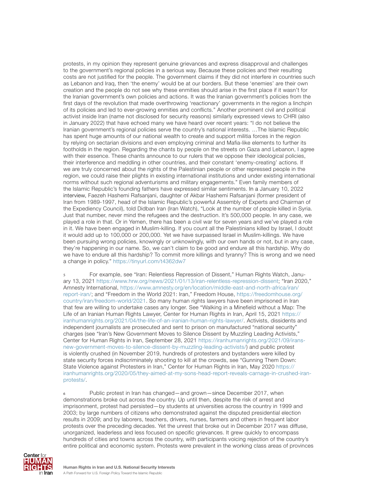<span id="page-21-0"></span>protests, in my opinion they represent genuine grievances and express disapproval and challenges to the government's regional policies in a serious way. Because these policies and their resulting costs are not justified for the people. The government claims if they did not interfere in countries such as Lebanon and Iraq, then 'the enemy' would be at our borders. But these 'enemies' are their own creation and the people do not see why these enmities should arise in the first place if it wasn't for the Iranian government's own policies and actions. It was the Iranian government's policies from the first days of the revolution that made overthrowing 'reactionary' governments in the region a linchpin of its policies and led to ever-growing enmities and conflicts." Another prominent civil and political activist inside Iran (name not disclosed for security reasons) similarly expressed views to CHRI (also in January 2022) that have echoed many we have heard over recent years: "I do not believe the Iranian government's regional policies serve the country's national interests. …The Islamic Republic has spent huge amounts of our national wealth to create and support militia forces in the region by relying on sectarian divisions and even employing criminal and Mafia-like elements to further its footholds in the region. Regarding the chants by people on the streets on Gaza and Lebanon, I agree with their essence. These chants announce to our rulers that we oppose their ideological policies, their interference and meddling in other countries, and their constant 'enemy-creating' actions. If we are truly concerned about the rights of the Palestinian people or other repressed people in the region, we could raise their plights in existing international institutions and under existing international norms without such regional adventurisms and military engagements." Even family members of the Islamic Republic's founding fathers have expressed similar sentiments. In a January 10, 2022 interview, Faezeh Hashemi Rafsanjani, daughter of Akbar Hashemi Rafsanjani (former president of Iran from 1989-1997, head of the Islamic Republic's powerful Assembly of Experts and Chairman of the Expediency Council), told Didban Iran (Iran Watch), "Look at the number of people killed in Syria. Just that number, never mind the refugees and the destruction. It's 500,000 people. In any case, we played a role in that. Or in Yemen, there has been a civil war for seven years and we've played a role in it. We have been engaged in Muslim-killing. If you count all the Palestinians killed by Israel, I doubt it would add up to 100,000 or 200,000. Yet we have surpassed Israel in Muslim-killings. We have been pursuing wrong policies, knowingly or unknowingly, with our own hands or not, but in any case, they're happening in our name. So, we can't claim to be good and endure all this hardship. Why do we have to endure all this hardship? To commit more killings and tyranny? This is wrong and we need a change in policy."<https://tinyurl.com/t4362dw7>

5 For example, see "Iran: Relentless Repression of Dissent," Human Rights Watch, January 13, 2021 <https://www.hrw.org/news/2021/01/13/iran-relentless-repression-dissent>; "Iran 2020," Amnesty International, [https://www.amnesty.org/en/location/middle-east-and-north-africa/iran/](https://www.amnesty.org/en/location/middle-east-and-north-africa/iran/report-iran/) [report-iran/](https://www.amnesty.org/en/location/middle-east-and-north-africa/iran/report-iran/); and "Freedom in the World 2021: Iran," Freedom House, [https://freedomhouse.org/](https://freedomhouse.org/country/iran/freedom-world/2021) [country/iran/freedom-world/2021](https://freedomhouse.org/country/iran/freedom-world/2021). So many human rights lawyers have been imprisoned in Iran that few are willing to undertake cases any longer. See "Walking in a Minefield without a Map: The Life of an Iranian Human Rights Lawyer, Center for Human Rights in Iran, April 15, 2021 [https://](https://iranhumanrights.org/2021/04/the-life-of-an-iranian-human-rights-lawyer/) [iranhumanrights.org/2021/04/the-life-of-an-iranian-human-rights-lawyer/](https://iranhumanrights.org/2021/04/the-life-of-an-iranian-human-rights-lawyer/). Activists, dissidents and independent journalists are prosecuted and sent to prison on manufactured "national security" charges (see "Iran's New Government Moves to Silence Dissent by Muzzling Leading Activists," Center for Human Rights in Iran, September 28, 2021 [https://iranhumanrights.org/2021/09/irans](https://iranhumanrights.org/2021/09/irans-new-government-moves-to-silence-dissent-by-muzzling-leading-activists/)[new-government-moves-to-silence-dissent-by-muzzling-leading-activists/](https://iranhumanrights.org/2021/09/irans-new-government-moves-to-silence-dissent-by-muzzling-leading-activists/)) and public protest is violently crushed (in November 2019, hundreds of protesters and bystanders were killed by state security forces indiscriminately shooting to kill at the crowds, see "Gunning Them Down: State Violence against Protesters in Iran," Center for Human Rights in Iran, May 2020 [https://](https://iranhumanrights.org/2020/05/they-aimed-at-my-sons-head-report-reveals-carnage-in-crushed-iran-protests/) [iranhumanrights.org/2020/05/they-aimed-at-my-sons-head-report-reveals-carnage-in-crushed-iran](https://iranhumanrights.org/2020/05/they-aimed-at-my-sons-head-report-reveals-carnage-in-crushed-iran-protests/)[protests/.](https://iranhumanrights.org/2020/05/they-aimed-at-my-sons-head-report-reveals-carnage-in-crushed-iran-protests/)

6 Public protest in Iran has changed—and grown—since December 2017, when demonstrations broke out across the country. Up until then, despite the risk of arrest and imprisonment, protest had persisted—by students at universities across the country in 1999 and 2003; by large numbers of citizens who demonstrated against the disputed presidential election results in 2009; and by laborers, teachers, drivers, nurses, farmers and others in frequent labor protests over the preceding decades. Yet the unrest that broke out in December 2017 was diffuse, unorganized, leaderless and less focused on specific grievances. It grew quickly to encompass hundreds of cities and towns across the country, with participants voicing rejection of the country's entire political and economic system. Protests were prevalent in the working class areas of provinces

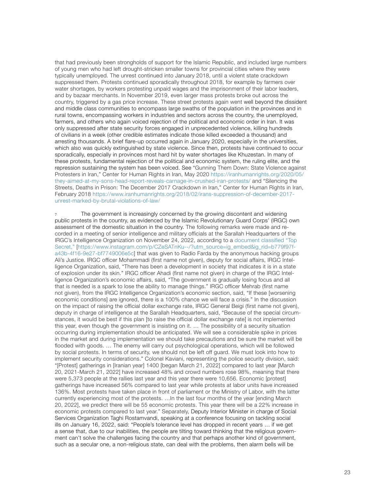<span id="page-22-0"></span>that had previously been strongholds of support for the Islamic Republic, and included large numbers of young men who had left drought-stricken smaller towns for provincial cities where they were typically unemployed. The unrest continued into January 2018, until a violent state crackdown suppressed them. Protests continued sporadically throughout 2018, for example by farmers over water shortages, by workers protesting unpaid wages and the imprisonment of their labor leaders, and by bazaar merchants. In November 2019, even larger mass protests broke out across the country, triggered by a gas price increase. These street protests again went well beyond the dissident and middle class communities to encompass large swaths of the population in the provinces and in rural towns, encompassing workers in industries and sectors across the country, the unemployed, farmers, and others who again voiced rejection of the political and economic order in Iran. It was only suppressed after state security forces engaged in unprecedented violence, killing hundreds of civilians in a week (other credible estimates indicate those killed exceeded a thousand) and arresting thousands. A brief flare-up occurred again in January 2020, especially in the universities, which also was quickly extinguished by state violence. Since then, protests have continued to occur sporadically, especially in provinces most hard hit by water shortages like Khuzestan. In many of these protests, fundamental rejection of the political and economic system, the ruling elite, and the repression sustaining the system has been voiced. See "Gunning Them Down: State Violence against Protesters in Iran," Center for Human Rights in Iran, May 2020 [https://iranhumanrights.org/2020/05/](https://iranhumanrights.org/2020/05/they-aimed-at-my-sons-head-report-reveals-carnage-in-crushed-iran-protests/) [they-aimed-at-my-sons-head-report-reveals-carnage-in-crushed-iran-protests/](https://iranhumanrights.org/2020/05/they-aimed-at-my-sons-head-report-reveals-carnage-in-crushed-iran-protests/) and "Silencing the Streets, Deaths in Prison: The December 2017 Crackdown in Iran," Center for Human Rights in Iran, February 2018 [https://www.iranhumanrights.org/2018/02/irans-suppression-of-december-2017](https://www.iranhumanrights.org/2018/02/irans-suppression-of-december-2017-unrest-marked-by-brutal-violations-of-law/) [unrest-marked-by-brutal-violations-of-law/](https://www.iranhumanrights.org/2018/02/irans-suppression-of-december-2017-unrest-marked-by-brutal-violations-of-law/)

The government is increasingly concerned by the growing discontent and widening public protests in the country, as evidenced by the Islamic Revolutionary Guard Corps' (IRGC) own assessment of the domestic situation in the country. The following remarks were made and recorded in a meeting of senior intelligence and military officials at the Sarallah Headquarters of the IRGC's Intelligence Organization on November 24, 2022, according to a [document classified "Top](https://www.instagram.com/p/CZeSATnKu--/?utm_source=ig_embed&ig_rid=b779f97f-a43b-4f16-9e27-bf7749006e5c)  [Secret,"](https://www.instagram.com/p/CZeSATnKu--/?utm_source=ig_embed&ig_rid=b779f97f-a43b-4f16-9e27-bf7749006e5c) [[https://www.instagram.com/p/CZeSATnKu--/?utm\\_source=ig\\_embed&ig\\_rid=b779f97f](https://www.instagram.com/p/CZeSATnKu--/?utm_source=ig_embed&ig_rid=b779f97f-a43b-4f16-9e27-bf7749006e5c)[a43b-4f16-9e27-bf7749006e5c](https://www.instagram.com/p/CZeSATnKu--/?utm_source=ig_embed&ig_rid=b779f97f-a43b-4f16-9e27-bf7749006e5c)] that was given to Radio Farda by the anonymous hacking groups Ali's Justice. IRGC officer Mohammadi (first name not given), deputy for social affairs, IRGC Intelligence Organization, said, "There has been a development in society that indicates it is in a state of explosion under its skin." IRGC officer Ahadi (first name not given) in charge of the IRGC Intelligence Organization's economic affairs, said, "The government is gradually losing focus and all that is needed is a spark to lose the ability to manage things." IRGC officer Mehrab (first name not given), from the IRGC Intelligence Organization's economic section, said, "If these [worsening economic conditions] are ignored, there is a 100% chance we will face a crisis." In the discussion on the impact of raising the official dollar exchange rate, IRGC General Beigi (first name not given), deputy in charge of intelligence at the Sarallah Headquarters, said, "Because of the special circumstances, it would be best if this plan [to raise the official dollar exchange rate] is not implemented this year, even though the government is insisting on it. … The possibility of a security situation occurring during implementation should be anticipated. We will see a considerable spike in prices in the market and during implementation we should take precautions and be sure the market will be flooded with goods. … The enemy will carry out psychological operations, which will be followed by social protests. In terms of security, we should not be left off guard. We must look into how to implement security considerations." Colonel Kaviani, representing the police security division, said: "[Protest] gatherings in [Iranian year] 1400 [began March 21, 2022] compared to last year [March 20, 2021-March 21, 2022] have increased 48% and crowd numbers rose 98%, meaning that there were 5,373 people at the rallies last year and this year there were 10,656. Economic [protest] gatherings have increased 56% compared to last year while protests at labor units have increased 136%. Most protests have taken place in front of parliament or the Ministry of Labor, with the latter currently experiencing most of the protests. …In the last four months of the year [ending March 20, 2022], we predict there will be 55 economic protests. This year there will be a 22% increase in economic protests compared to last year." Separately, Deputy Interior Minister in charge of Social Services Organization Taghi Rostamvandi, speaking at a conference focusing on tackling social ills on January 16, 2022, said: "People's tolerance level has dropped in recent years … if we get a sense that, due to our inabilities, the people are tilting toward thinking that the religious government can't solve the challenges facing the country and that perhaps another kind of government, such as a secular one, a non-religious state, can deal with the problems, then alarm bells will be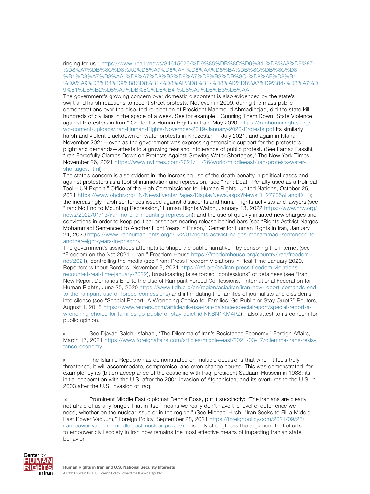<span id="page-23-0"></span>ringing for us." [https://www.irna.ir/news/84615026/%D9%85%DB%8C%D9%84-%D8%A8%D9%87-](https://www.irna.ir/news/84615026/%D9%85%DB%8C%D9%84-%D8%A8%D9%87-%D8%A7%DB%8C%D8%AC%D8%A7%D8%AF-%D8%AA%D8%BA%DB%8C%DB%8C%D8%B1%D8%A7%D8%AA-%D8%A7%D8%B3%D8%A7%D8%B3%DB%8C-%D8%AF%D8%B1-%DA%A9%D8%B4%D9%88%D8%B1-%D8%AF%D8%B1-%D8%AD%D8%A7%D9%84-%D8%A7%D9%81%D8%B2%D8%A7%DB%8C%D8%B4-%D8%A7%D8%B3%D8%AA) [%D8%A7%DB%8C%D8%AC%D8%A7%D8%AF-%D8%AA%D8%BA%DB%8C%DB%8C%D8](https://www.irna.ir/news/84615026/%D9%85%DB%8C%D9%84-%D8%A8%D9%87-%D8%A7%DB%8C%D8%AC%D8%A7%D8%AF-%D8%AA%D8%BA%DB%8C%DB%8C%D8%B1%D8%A7%D8%AA-%D8%A7%D8%B3%D8%A7%D8%B3%DB%8C-%D8%AF%D8%B1-%DA%A9%D8%B4%D9%88%D8%B1-%D8%AF%D8%B1-%D8%AD%D8%A7%D9%84-%D8%A7%D9%81%D8%B2%D8%A7%DB%8C%D8%B4-%D8%A7%D8%B3%D8%AA) [%B1%D8%A7%D8%AA-%D8%A7%D8%B3%D8%A7%D8%B3%DB%8C-%D8%AF%D8%B1-](https://www.irna.ir/news/84615026/%D9%85%DB%8C%D9%84-%D8%A8%D9%87-%D8%A7%DB%8C%D8%AC%D8%A7%D8%AF-%D8%AA%D8%BA%DB%8C%DB%8C%D8%B1%D8%A7%D8%AA-%D8%A7%D8%B3%D8%A7%D8%B3%DB%8C-%D8%AF%D8%B1-%DA%A9%D8%B4%D9%88%D8%B1-%D8%AF%D8%B1-%D8%AD%D8%A7%D9%84-%D8%A7%D9%81%D8%B2%D8%A7%DB%8C%D8%B4-%D8%A7%D8%B3%D8%AA) [%DA%A9%D8%B4%D9%88%D8%B1-%D8%AF%D8%B1-%D8%AD%D8%A7%D9%84-%D8%A7%D](https://www.irna.ir/news/84615026/%D9%85%DB%8C%D9%84-%D8%A8%D9%87-%D8%A7%DB%8C%D8%AC%D8%A7%D8%AF-%D8%AA%D8%BA%DB%8C%DB%8C%D8%B1%D8%A7%D8%AA-%D8%A7%D8%B3%D8%A7%D8%B3%DB%8C-%D8%AF%D8%B1-%DA%A9%D8%B4%D9%88%D8%B1-%D8%AF%D8%B1-%D8%AD%D8%A7%D9%84-%D8%A7%D9%81%D8%B2%D8%A7%DB%8C%D8%B4-%D8%A7%D8%B3%D8%AA) [9%81%D8%B2%D8%A7%DB%8C%D8%B4-%D8%A7%D8%B3%D8%AA](https://www.irna.ir/news/84615026/%D9%85%DB%8C%D9%84-%D8%A8%D9%87-%D8%A7%DB%8C%D8%AC%D8%A7%D8%AF-%D8%AA%D8%BA%DB%8C%DB%8C%D8%B1%D8%A7%D8%AA-%D8%A7%D8%B3%D8%A7%D8%B3%DB%8C-%D8%AF%D8%B1-%DA%A9%D8%B4%D9%88%D8%B1-%D8%AF%D8%B1-%D8%AD%D8%A7%D9%84-%D8%A7%D9%81%D8%B2%D8%A7%DB%8C%D8%B4-%D8%A7%D8%B3%D8%AA)

The government's growing concern over domestic discontent is also evidenced by the state's swift and harsh reactions to recent street protests. Not even in 2009, during the mass public demonstrations over the disputed re-election of President Mahmoud Ahmadinejad, did the state kill hundreds of civilians in the space of a week. See for example, "Gunning Them Down, State Violence against Protesters in Iran," Center for Human Rights in Iran, May 2020, [https://iranhumanrights.org/](https://iranhumanrights.org/wp-content/uploads/Iran-Human-Rights-November-2019-January-2020-Protests.pdf) [wp-content/uploads/Iran-Human-Rights-November-2019-January-2020-Protests.pdf](https://iranhumanrights.org/wp-content/uploads/Iran-Human-Rights-November-2019-January-2020-Protests.pdf) Its similarly harsh and violent crackdown on water protests in Khuzestan in July 2021, and again in Isfahan in November 2021—even as the government was expressing ostensible support for the protesters' plight and demands—attests to a growing fear and intolerance of public protest. (See Farnaz Fassihi, "Iran Forcefully Clamps Down on Protests Against Growing Water Shortages," The New York Times, November 26, 2021 [https://www.nytimes.com/2021/11/26/world/middleeast/iran-protests-water](https://www.nytimes.com/2021/11/26/world/middleeast/iran-protests-water-shortages.html)[shortages.html](https://www.nytimes.com/2021/11/26/world/middleeast/iran-protests-water-shortages.html))

The state's concern is also evident in: the increasing use of the death penalty in political cases and against protesters as a tool of intimidation and repression, (see "Iran: Death Penalty used as a Political Tool – UN Expert," Office of the High Commissioner for Human Rights, United Nations, October 25, 2021 [https://www.ohchr.org/EN/NewsEvents/Pages/DisplayNews.aspx?NewsID=27705&LangID=E\)](https://www.ohchr.org/EN/NewsEvents/Pages/DisplayNews.aspx?NewsID=27705&LangID=E)); the increasingly harsh sentences issued against dissidents and human rights activists and lawyers (see "Iran: No End to Mounting Repression," Human Rights Watch, January 13, 2022 [https://www.hrw.org/](https://www.hrw.org/news/2022/01/13/iran-no-end-mounting-repression) [news/2022/01/13/iran-no-end-mounting-repression](https://www.hrw.org/news/2022/01/13/iran-no-end-mounting-repression)); and the use of quickly initiated new charges and convictions in order to keep political prisoners nearing release behind bars (see "Rights Activist Narges Mohammadi Sentenced to Another Eight Years in Prison," Center for Human Rights in Iran, January 24, 2020 [https://www.iranhumanrights.org/2022/01/rights-activist-narges-mohammadi-sentenced-to](https://www.iranhumanrights.org/2022/01/rights-activist-narges-mohammadi-sentenced-to-another-eight-years-in-prison/)[another-eight-years-in-prison/\)](https://www.iranhumanrights.org/2022/01/rights-activist-narges-mohammadi-sentenced-to-another-eight-years-in-prison/).

The government's assiduous attempts to shape the public narrative—by censoring the internet (see "Freedom on the Net 2021 - Iran," Freedom House [https://freedomhouse.org/country/iran/freedom](https://freedomhouse.org/country/iran/freedom-net/2021)[net/2021](https://freedomhouse.org/country/iran/freedom-net/2021)), controlling the media (see "Iran: Press Freedom Violations in Real Time January 2020," Reporters without Borders, November 9, 2021 [https://rsf.org/en/iran-press-freedom-violations](https://rsf.org/en/iran-press-freedom-violations-recounted-real-time-january-2022)[recounted-real-time-january-2022\)](https://rsf.org/en/iran-press-freedom-violations-recounted-real-time-january-2022), broadcasting false forced "confessions" of detainees (see "Iran: New Report Demands End to the Use of Rampant Forced Confessions," International Federation for Human Rights, June 25, 2020 [https://www.fidh.org/en/region/asia/iran/iran-new-report-demands-end](https://www.fidh.org/en/region/asia/iran/iran-new-report-demands-end-to-the-rampant-use-of-forced-confessions)[to-the-rampant-use-of-forced-confessions](https://www.fidh.org/en/region/asia/iran/iran-new-report-demands-end-to-the-rampant-use-of-forced-confessions)) and intimidating the families of journalists and dissidents into silence (see "Special Report- A Wrenching Choice for Families: Go Public or Stay Quiet?" Reuters, August 1, 2018 [https://www.reuters.com/article/uk-usa-iran-balance-specialreport/special-report-a](https://www.reuters.com/article/uk-usa-iran-balance-specialreport/special-report-a-wrenching-choice-for-families-go-public-or-stay-quiet-idINKBN1KM4PZ)[wrenching-choice-for-families-go-public-or-stay-quiet-idINKBN1KM4PZ](https://www.reuters.com/article/uk-usa-iran-balance-specialreport/special-report-a-wrenching-choice-for-families-go-public-or-stay-quiet-idINKBN1KM4PZ))—also attest to its concern for public opinion.

8 See Djavad Salehi-Isfahani, "The Dilemma of Iran's Resistance Economy," Foreign Affairs, March 17, 2021 [https://www.foreignaffairs.com/articles/middle-east/2021-03-17/dilemma-irans-resis](https://www.foreignaffairs.com/articles/middle-east/2021-03-17/dilemma-irans-resistance-economy)[tance-economy](https://www.foreignaffairs.com/articles/middle-east/2021-03-17/dilemma-irans-resistance-economy)

The Islamic Republic has demonstrated on multiple occasions that when it feels truly threatened, it will accommodate, compromise, and even change course. This was demonstrated, for example, by its (bitter) acceptance of the ceasefire with Iraqi president Sadaam Hussein in 1988; its initial cooperation with the U.S. after the 2001 invasion of Afghanistan; and its overtures to the U.S. in 2003 after the U.S. invasion of Iraq.

10 Prominent Middle East diplomat Dennis Ross, put it succinctly: "The Iranians are clearly not afraid of us any longer. That in itself means we really don't have the level of deterrence we need, whether on the nuclear issue or in the region." (See Michael Hirsh, "Iran Seeks to Fill a Middle East Power Vacuum," Foreign Policy, September 28, 2021 [https://foreignpolicy.com/2021/09/28/](https://foreignpolicy.com/2021/09/28/iran-power-vacuum-middle-east-nuclear-power/)) [iran-power-vacuum-middle-east-nuclear-power/\)](https://foreignpolicy.com/2021/09/28/iran-power-vacuum-middle-east-nuclear-power/)) This only strengthens the argument that efforts to empower civil society in Iran now remains the most effective means of impacting Iranian state behavior.

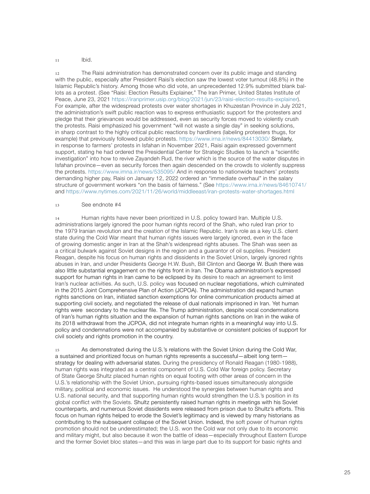#### <span id="page-24-0"></span> $11$  Ibid.

12 The Raisi administration has demonstrated concern over its public image and standing with the public, especially after President Raisi's election saw the lowest voter turnout (48.8%) in the Islamic Republic's history. Among those who did vote, an unprecedented 12.9% submitted blank ballots as a protest. (See "Raisi: Election Results Explainer," The Iran Primer, United States Institute of Peace, June 23, 2021<https://iranprimer.usip.org/blog/2021/jun/23/raisi-election-results-explainer>). For example, after the widespread protests over water shortages in Khuzestan Province in July 2021, the administration's swift public reaction was to express enthusiastic support for the protesters and pledge that their grievances would be addressed, even as security forces moved to violently crush the protests. Raisi emphasized his government "will not waste a single day" in seeking solutions, in sharp contrast to the highly critical public reactions by hardliners (labeling protesters thugs, for example) that previously followed public protests. <https://www.irna.ir/news/84413030/>Similarly, in response to farmers' protests in Isfahan in November 2021, Raisi again expressed government support, stating he had ordered the Presidential Center for Strategic Studies to launch a "scientific investigation" into how to revive Zayandeh Rud, the river which is the source of the water disputes in Isfahan province—even as security forces then again descended on the crowds to violently suppress the protests. <https://www.imna.ir/news/535095/>And in response to nationwide teachers' protests demanding higher pay, Raisi on January 12, 2022 ordered an "immediate overhaul" in the salary structure of government workers "on the basis of fairness." (See<https://www.irna.ir/news/84610741/> and <https://www.nytimes.com/2021/11/26/world/middleeast/iran-protests-water-shortages.html>

#### 13 See endnote #4

14 Human rights have never been prioritized in U.S. policy toward Iran. Multiple U.S. administrations largely ignored the poor human rights record of the Shah, who ruled Iran prior to the 1979 Iranian revolution and the creation of the Islamic Republic. Iran's role as a key U.S. client state during the Cold War meant that human rights issues were largely ignored, even in the face of growing domestic anger in Iran at the Shah's widespread rights abuses. The Shah was seen as a critical bulwark against Soviet designs in the region and a guarantor of oil supplies. President Reagan, despite his focus on human rights and dissidents in the Soviet Union, largely ignored rights abuses in Iran, and under Presidents George H.W. Bush, Bill Clinton and George W. Bush there was also little substantial engagement on the rights front in Iran. The Obama administration's expressed support for human rights in Iran came to be eclipsed by its desire to reach an agreement to limit Iran's nuclear activities. As such, U.S. policy was focused on nuclear negotiations, which culminated in the 2015 Joint Comprehensive Plan of Action (JCPOA). The administration did expand human rights sanctions on Iran, initiated sanction exemptions for online communication products aimed at supporting civil society, and negotiated the release of dual nationals imprisoned in Iran. Yet human rights were secondary to the nuclear file. The Trump administration, despite vocal condemnations of Iran's human rights situation and the expansion of human rights sanctions on Iran in the wake of its 2018 withdrawal from the JCPOA, did not integrate human rights in a meaningful way into U.S. policy and condemnations were not accompanied by substantive or consistent policies of support for civil society and rights promotion in the country.

15 As demonstrated during the U.S.'s relations with the Soviet Union during the Cold War, a sustained and prioritized focus on human rights represents a successful—albeit long term strategy for dealing with adversarial states. During the presidency of Ronald Reagan (1980-1988), human rights was integrated as a central component of U.S. Cold War foreign policy. Secretary of State George Shultz placed human rights on equal footing with other areas of concern in the U.S.'s relationship with the Soviet Union, pursuing rights-based issues simultaneously alongside military, political and economic issues. He understood the synergies between human rights and U.S. national security, and that supporting human rights would strengthen the U.S.'s position in its global conflict with the Soviets. Shultz persistently raised human rights in meetings with his Soviet counterparts, and numerous Soviet dissidents were released from prison due to Shultz's efforts. This focus on human rights helped to erode the Soviet's legitimacy and is viewed by many historians as contributing to the subsequent collapse of the Soviet Union. Indeed, the soft power of human rights promotion should not be underestimated; the U.S. won the Cold war not only due to its economic and military might, but also because it won the battle of ideas—especially throughout Eastern Europe and the former Soviet bloc states—and this was in large part due to its support for basic rights and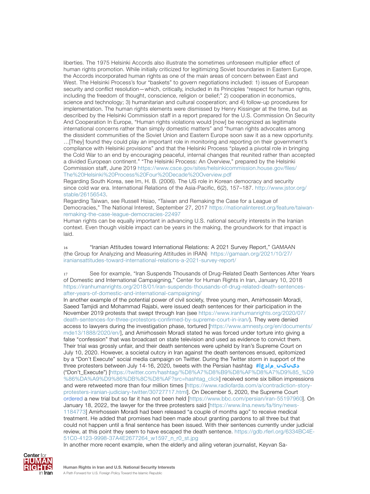<span id="page-25-0"></span>liberties. The 1975 Helsinki Accords also illustrate the sometimes unforeseen multiplier effect of human rights promotion. While initially criticized for legitimizing Soviet boundaries in Eastern Europe, the Accords incorporated human rights as one of the main areas of concern between East and West. The Helsinki Process's four "baskets" to govern negotiations included: 1) issues of European security and conflict resolution—which, critically, included in its Principles "respect for human rights, including the freedom of thought, conscience, religion or belief;" 2) cooperation in economics, science and technology; 3) humanitarian and cultural cooperation; and 4) follow-up procedures for implementation. The human rights elements were dismissed by Henry Kissinger at the time, but as described by the Helsinki Commission staff in a report prepared for the U.S. Commission On Security And Cooperation In Europe, "Human rights violations would [now] be recognized as legitimate international concerns rather than simply domestic matters" and "human rights advocates among the dissident communities of the Soviet Union and Eastern Europe soon saw it as a new opportunity. …[They] found they could play an important role in monitoring and reporting on their government's compliance with Helsinki provisions" and that the Helsinki Process "played a pivotal role in bringing the Cold War to an end by encouraging peaceful, internal changes that reunited rather than accepted a divided European continent." "The Helsinki Process: An Overview," prepared by the Helsinki Commission staff, June 2019 [https://www.csce.gov/sites/helsinkicommission.house.gov/files/](https://www.csce.gov/sites/helsinkicommission.house.gov/files/The%20Helsinki%20Process%20Four%20Decade%20Overview.pdf) [The%20Helsinki%20Process%20Four%20Decade%20Overview.pdf](https://www.csce.gov/sites/helsinkicommission.house.gov/files/The%20Helsinki%20Process%20Four%20Decade%20Overview.pdf)

Regarding South Korea, see Im, H. B. (2006). The US role in Korean democracy and security since cold war era. International Relations of the Asia-Pacific, 6(2), 157–187. [http://www.jstor.org/](http://www.jstor.org/stable/26156543) [stable/26156543.](http://www.jstor.org/stable/26156543)

Regarding Taiwan, see Russell Hsiao, "Taiwan and Remaking the Case for a League of Democracies," The National Interest, September 27, 2017 [https://nationalinterest.org/feature/taiwan](https://nationalinterest.org/feature/taiwan-remaking-the-case-league-democracies-22497)[remaking-the-case-league-democracies-22497](https://nationalinterest.org/feature/taiwan-remaking-the-case-league-democracies-22497)

Human rights can be equally important in advancing U.S. national security interests in the Iranian context. Even though visible impact can be years in the making, the groundwork for that impact is laid.

16 "Iranian Attitudes toward International Relations: A 2021 Survey Report," GAMAAN (the Group for Analyzing and Measuring Attitudes in IRAN) [https://gamaan.org/2021/10/27/](https://gamaan.org/2021/10/27/iraniansattitudes-toward-international-relations-a-2021-survey-report/) [iraniansattitudes-toward-international-relations-a-2021-survey-report/](https://gamaan.org/2021/10/27/iraniansattitudes-toward-international-relations-a-2021-survey-report/)

17 See for example, "Iran Suspends Thousands of Drug-Related Death Sentences After Years of Domestic and International Campaigning," Center for Human Rights in Iran, January 10, 2018 [https://iranhumanrights.org/2018/01/iran-suspends-thousands-of-drug-related-death-sentences](https://iranhumanrights.org/2018/01/iran-suspends-thousands-of-drug-related-death-sentences-after-years-of-domestic-and-international-campaigning/)[after-years-of-domestic-and-international-campaigning/](https://iranhumanrights.org/2018/01/iran-suspends-thousands-of-drug-related-death-sentences-after-years-of-domestic-and-international-campaigning/)

In another example of the potential power of civil society, three young men, Amirhossein Moradi, Saeed Tamjidi and Mohammad Rajabi, were issued death sentences for their participation in the November 2019 protests that swept through Iran (see [https://www.iranhumanrights.org/2020/07/](https://www.iranhumanrights.org/2020/07/death-sentences-for-three-protestors-confirmed-by-supreme-court-in-iran/) [death-sentences-for-three-protestors-confirmed-by-supreme-court-in-iran/\)](https://www.iranhumanrights.org/2020/07/death-sentences-for-three-protestors-confirmed-by-supreme-court-in-iran/). They were denied access to lawyers during the investigation phase, tortured [[https://www.amnesty.org/en/documents/](https://www.amnesty.org/en/documents/mde13/1888/2020/en/) [mde13/1888/2020/en/\]](https://www.amnesty.org/en/documents/mde13/1888/2020/en/), and Amirhossein Moradi stated he was forced under torture into giving a false "confession" that was broadcast on state television and used as evidence to convict them. Their trial was grossly unfair, and their death sentences were upheld by Iran's Supreme Court on July 10, 2020. However, a societal outcry in Iran against the death sentences ensued, epitomized by a "Don't Execute" social media campaign on Twitter. During the Twitter storm in support of the three protesters between July 14-16, 2020, tweets with the Persian hashtag **#مادعا\_[دینکن](https://twitter.com/hashtag/%D8%A7%D8%B9%D8%AF%D8%A7%D9%85_%D9%86%DA%A9%D9%86%DB%8C%D8%AF?src=hashtag_click)** ("Don't\_Execute") [[https://twitter.com/hashtag/%D8%A7%D8%B9%D8%AF%D8%A7%D9%85\\_%D9](https://twitter.com/hashtag/%D8%A7%D8%B9%D8%AF%D8%A7%D9%85_%D9%86%DA%A9%D9%86%DB%8C%D8%AF?src=hashtag_click) [%86%DA%A9%D9%86%DB%8C%D8%AF?src=hashtag\\_click\]](https://twitter.com/hashtag/%D8%A7%D8%B9%D8%AF%D8%A7%D9%85_%D9%86%DA%A9%D9%86%DB%8C%D8%AF?src=hashtag_click) received some six billion impressions and were retweeted more than four million times [[https://www.radiofarda.com/a/contradiction-story](https://www.radiofarda.com/a/contradiction-story-protesters-iranian-judiciary-twitter/30727717.html)[protesters-iranian-judiciary-twitter/30727717.html](https://www.radiofarda.com/a/contradiction-story-protesters-iranian-judiciary-twitter/30727717.html)]. On December 5, 2020, the Supreme Court [ordered](https://www.bbc.com/persian/iran-55197960) a new trial but so far it has not been held [\[https://www.bbc.com/persian/iran-55197960](https://www.bbc.com/persian/iran-55197960)]. On January 18, 2022, the lawyer for the three protesters [said](https://www.ilna.news/fa/tiny/news-1184773) [[https://www.ilna.news/fa/tiny/news-](https://www.ilna.news/fa/tiny/news-1184773)[1184773](https://www.ilna.news/fa/tiny/news-1184773)] Amirhossein Moradi had been released "a couple of months ago" to receive medical treatment. He added that promises had been made about granting pardons to all three but that could not happen until a final sentence has been issued. With their sentences currently under judicial review, at this point they seem to have escaped the death sentence. [https://gdb.rferl.org/6334BC4E-](https://gdb.rferl.org/6334BC4E-51C0-4123-9998-37A4E2677264_w1597_n_r0_st.jpg)[51C0-4123-9998-37A4E2677264\\_w1597\\_n\\_r0\\_st.jpg](https://gdb.rferl.org/6334BC4E-51C0-4123-9998-37A4E2677264_w1597_n_r0_st.jpg)



In another more recent example, when the elderly and ailing veteran journalist, Keyvan Sa-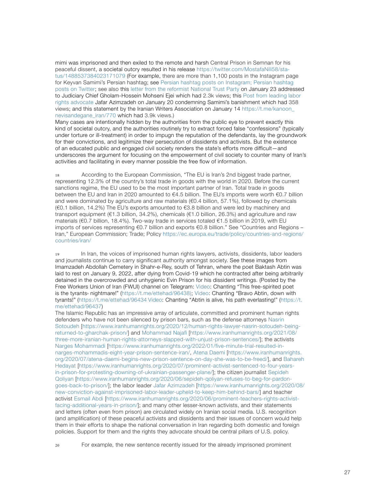<span id="page-26-0"></span>mimi was imprisoned and then exiled to the remote and harsh Central Prison in Semnan for his peaceful dissent, a societal outcry resulted in his release [https://twitter.com/MostafaNili58/sta](https://twitter.com/MostafaNili58/status/1488537384023171079)[tus/1488537384023171079](https://twitter.com/MostafaNili58/status/1488537384023171079) (For example, there are more than 1,100 posts in the Instagram page for Keyvan Samimi's Persian hashtag; see [Persian hashtag posts on Instagram](https://www.instagram.com/explore/tags/%DA%A9%DB%8C%D9%88%D8%A7%D9%86_%D8%B5%D9%85%DB%8C%D9%85%DB%8C/?hl=en); [Persian hashtag](https://twitter.com/hashtag/%DA%A9%DB%8C%D9%88%D8%A7%D9%86_%D8%B5%D9%85%DB%8C%D9%85%DB%8C?src=hashtag_click&f=live)  [posts on Twitter;](https://twitter.com/hashtag/%DA%A9%DB%8C%D9%88%D8%A7%D9%86_%D8%B5%D9%85%DB%8C%D9%85%DB%8C?src=hashtag_click&f=live) see also this [letter from the reformist National Trust Party](https://t.me/emtedadnet/62897) on January 23 addressed to Judiciary Chief Gholam-Hossein Mohseni Ejei which had 2.3k views; this Post from leading labor [rights advocate](https://t.me/ettehad/96955) Jafar Azimzadeh on January 20 condemning Samimi's banishment which had 358 views; and this statement by the Iranian Writers Association on January 14 [https://t.me/kanoon\\_](https://t.me/kanoon_nevisandegane_iran/770) [nevisandegane\\_iran/770](https://t.me/kanoon_nevisandegane_iran/770) which had 3.9k views.)

Many cases are intentionally hidden by the authorities from the public eye to prevent exactly this kind of societal outcry, and the authorities routinely try to extract forced false "confessions" (typically under torture or ill-treatment) in order to impugn the reputation of the defendants, lay the groundwork for their convictions, and legitimize their persecution of dissidents and activists. But the existence of an educated public and engaged civil society renders the state's efforts more difficult—and underscores the argument for focusing on the empowerment of civil society to counter many of Iran's activities and facilitating in every manner possible the free flow of information.

18 According to the European Commission, "The EU is Iran's 2nd biggest trade partner, representing 12.3% of the country's total trade in goods with the world in 2020. Before the current sanctions regime, the EU used to be the most important partner of Iran. Total trade in goods between the EU and Iran in 2020 amounted to €4.5 billion. The EU's imports were worth €0.7 billion and were dominated by agriculture and raw materials (€0.4 billion, 57.1%), followed by chemicals (€0.1 billion, 14.2%) The EU's exports amounted to €3.8 billion and were led by machinery and transport equipment (€1.3 billion, 34.2%), chemicals (€1.0 billion, 26.3%) and agriculture and raw materials (€0.7 billion, 18.4%). Two-way trade in services totaled €1.5 billion in 2019, with EU imports of services representing €0.7 billion and exports €0.8 billion." See "Countries and Regions – Iran," European Commission; Trade; Policy [https://ec.europa.eu/trade/policy/countries-and-regions/](https://ec.europa.eu/trade/policy/countries-and-regions/countries/iran/) [countries/iran/](https://ec.europa.eu/trade/policy/countries-and-regions/countries/iran/)

19 In Iran, the voices of imprisoned human rights lawyers, activists, dissidents, labor leaders and journalists continue to carry significant authority amongst society. See these images from Imamzadeh Abdollah Cemetery in Shahr-e-Rey, south of Tehran, where the poet Baktash Abtin was laid to rest on January 9, 2022, after dying from Covid-19 which he contracted after being arbitrarily detained in the overcrowded and unhygienic Evin Prison for his dissident writings. (Posted by the Free Workers Union of Iran (FWUI) channel on Telegram: [Video:](https://t.me/ettehad/96438) Chanting "This free-spirited poet is the tyrants› nightmare!" ([https://t.me/ettehad/96438\)](https://t.me/ettehad/96438)); [Video:](https://t.me/ettehad/96434) Chanting "Bravo Abtin, down with tyrants!" (<https://t.me/ettehad/96434> [Video:](https://t.me/ettehad/96437) Chanting "Abtin is alive, his path everlasting!" ([https://t.](https://t.me/ettehad/96437) [me/ettehad/96437](https://t.me/ettehad/96437))

The Islamic Republic has an impressive array of articulate, committed and prominent human rights defenders who have not been silenced by prison bars, such as the defense attorneys [Nasrin](https://www.iranhumanrights.org/2020/12/human-rights-lawyer-nasrin-sotoudeh-being-returned-to-gharchak-prison/)  [Sotoudeh \[https://www.iranhumanrights.org/2020/12/human-rights-lawyer-nasrin-sotoudeh-being](https://www.iranhumanrights.org/2020/12/human-rights-lawyer-nasrin-sotoudeh-being-returned-to-gharchak-prison/)[returned-to-gharchak-prison/\]](https://www.iranhumanrights.org/2020/12/human-rights-lawyer-nasrin-sotoudeh-being-returned-to-gharchak-prison/) and [Mohammad Najafi \[https://www.iranhumanrights.org/2021/08/](https://www.iranhumanrights.org/2021/08/three-more-iranian-human-rights-attorneys-slapped-with-unjust-prison-sentences/) [three-more-iranian-human-rights-attorneys-slapped-with-unjust-prison-sentences/](https://www.iranhumanrights.org/2021/08/three-more-iranian-human-rights-attorneys-slapped-with-unjust-prison-sentences/)]; the activists [Narges Mohammadi \[https://www.iranhumanrights.org/2022/01/five-minute-trial-resulted-in](https://www.iranhumanrights.org/2022/01/five-minute-trial-resulted-in-narges-mohammadis-eight-year-prison-sentence-iran/)[narges-mohammadis-eight-year-prison-sentence-iran/](https://www.iranhumanrights.org/2022/01/five-minute-trial-resulted-in-narges-mohammadis-eight-year-prison-sentence-iran/), [Atena Daemi](https://www.iranhumanrights.org/2020/07/atena-daemi-begins-new-prison-sentence-on-day-she-was-to-be-freed/) [[https://www.iranhumanrights.](https://www.iranhumanrights.org/2020/07/atena-daemi-begins-new-prison-sentence-on-day-she-was-to-be-freed/) [org/2020/07/atena-daemi-begins-new-prison-sentence-on-day-she-was-to-be-freed/\]](https://www.iranhumanrights.org/2020/07/atena-daemi-begins-new-prison-sentence-on-day-she-was-to-be-freed/), and [Bahareh](https://www.iranhumanrights.org/2020/07/prominent-activist-sentenced-to-four-years-in-prison-for-protesting-downing-of-ukrainian-passenger-plane/)  [Hedayat \[https://www.iranhumanrights.org/2020/07/prominent-activist-sentenced-to-four-years](https://www.iranhumanrights.org/2020/07/prominent-activist-sentenced-to-four-years-in-prison-for-protesting-downing-of-ukrainian-passenger-plane/)[in-prison-for-protesting-downing-of-ukrainian-passenger-plane/](https://www.iranhumanrights.org/2020/07/prominent-activist-sentenced-to-four-years-in-prison-for-protesting-downing-of-ukrainian-passenger-plane/)]; the citizen journalist [Sepideh](https://www.iranhumanrights.org/2020/06/sepideh-qoliyan-refuses-to-beg-for-pardon-goes-back-to-prison/)  [Qoliyan](https://www.iranhumanrights.org/2020/06/sepideh-qoliyan-refuses-to-beg-for-pardon-goes-back-to-prison/) [[https://www.iranhumanrights.org/2020/06/sepideh-qoliyan-refuses-to-beg-for-pardon](https://www.iranhumanrights.org/2020/06/sepideh-qoliyan-refuses-to-beg-for-pardon-goes-back-to-prison/)[goes-back-to-prison/\]](https://www.iranhumanrights.org/2020/06/sepideh-qoliyan-refuses-to-beg-for-pardon-goes-back-to-prison/); the labor leader [Jafar Azimzadeh](https://www.iranhumanrights.org/2020/08/new-conviction-against-imprisoned-labor-leader-upheld-to-keep-him-behind-bars/) [[https://www.iranhumanrights.org/2020/08/](https://www.iranhumanrights.org/2020/08/new-conviction-against-imprisoned-labor-leader-upheld-to-keep-him-behind-bars/) [new-conviction-against-imprisoned-labor-leader-upheld-to-keep-him-behind-bars/\]](https://www.iranhumanrights.org/2020/08/new-conviction-against-imprisoned-labor-leader-upheld-to-keep-him-behind-bars/) and teacher activist [Esmail Abdi \[https://www.iranhumanrights.org/2020/06/prominent-teachers-rights-activist](https://www.iranhumanrights.org/2020/06/prominent-teachers-rights-activist-facing-additional-years-in-prison/)[facing-additional-years-in-prison/\]](https://www.iranhumanrights.org/2020/06/prominent-teachers-rights-activist-facing-additional-years-in-prison/); and many other lesser-known activists, and their statements and letters (often even from prison) are circulated widely on Iranian social media. U.S. recognition (and amplification) of these peaceful activists and dissidents and their issues of concern would help them in their efforts to shape the national conversation in Iran regarding both domestic and foreign policies. Support for them and the rights they advocate should be central pillars of U.S. policy.

20 For example, the new sentence recently issued for the already imprisoned prominent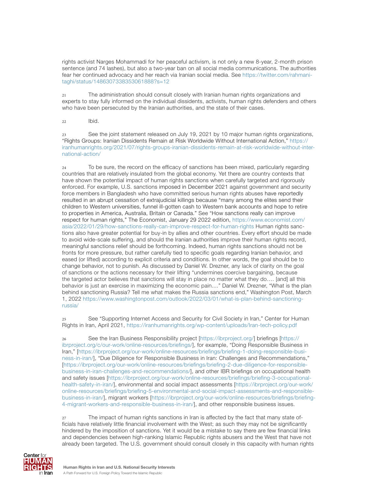<span id="page-27-0"></span>rights activist Narges Mohammadi for her peaceful activism, is not only a new 8-year, 2-month prison sentence (and 74 lashes), but also a two-year ban on all social media communications. The authorities fear her continued advocacy and her reach via Iranian social media. See [https://twitter.com/rahmani](https://twitter.com/rahmanitaghi/status/1486307338353061888?s=12)[taghi/status/1486307338353061888?s=12](https://twitter.com/rahmanitaghi/status/1486307338353061888?s=12)

21 The administration should consult closely with Iranian human rights organizations and experts to stay fully informed on the individual dissidents, activists, human rights defenders and others who have been persecuted by the Iranian authorities, and the state of their cases.

 $22$  Ibid.

23 See the joint statement released on July 19, 2021 by 10 major human rights organizations, "Rights Groups: Iranian Dissidents Remain at Risk Worldwide Without International Action," [https://](https://iranhumanrights.org/2021/07/rights-groups-iranian-dissidents-remain-at-risk-worldwide-without-international-action/) [iranhumanrights.org/2021/07/rights-groups-iranian-dissidents-remain-at-risk-worldwide-without-inter](https://iranhumanrights.org/2021/07/rights-groups-iranian-dissidents-remain-at-risk-worldwide-without-international-action/)[national-action/](https://iranhumanrights.org/2021/07/rights-groups-iranian-dissidents-remain-at-risk-worldwide-without-international-action/)

24 To be sure, the record on the efficacy of sanctions has been mixed, particularly regarding countries that are relatively insulated from the global economy. Yet there are country contexts that have shown the potential impact of human rights sanctions when carefully targeted and rigorously enforced. For example, U.S. sanctions imposed in December 2021 against government and security force members in Bangladesh who have committed serious human rights abuses have reportedly resulted in an abrupt cessation of extrajudicial killings because "many among the elites send their children to Western universities, funnel ill-gotten cash to Western bank accounts and hope to retire to properties in America, Australia, Britain or Canada." See "How sanctions really can improve respect for human rights," The Economist, January 29 2022 edition, [https://www.economist.com/](https://www.economist.com/asia/2022/01/29/how-sanctions-really-can-improve-respect-for-human-rights) [asia/2022/01/29/how-sanctions-really-can-improve-respect-for-human-rights](https://www.economist.com/asia/2022/01/29/how-sanctions-really-can-improve-respect-for-human-rights) Human rights sanctions also have greater potential for buy-in by allies and other countries. Every effort should be made to avoid wide-scale suffering, and should the Iranian authorities improve their human rights record, meaningful sanctions relief should be forthcoming. Indeed, human rights sanctions should not be fronts for more pressure, but rather carefully tied to specific goals regarding Iranian behavior, and eased (or lifted) according to explicit criteria and conditions. In other words, the goal should be to change behavior, not to punish. As discussed by Daniel W. Drezner, any lack of clarity on the goal of sanctions or the actions necessary for their lifting "undermines coercive bargaining, because the targeted actor believes that sanctions will stay in place no matter what they do…. [and] all this behavior is just an exercise in maximizing the economic pain...." Daniel W. Drezner, "What is the plan behind sanctioning Russia? Tell me what makes the Russia sanctions end," Washington Post, March 1, 2022 [https://www.washingtonpost.com/outlook/2022/03/01/what-is-plan-behind-sanctioning](https://www.washingtonpost.com/outlook/2022/03/01/what-is-plan-behind-sanctioning-russia/)[russia/](https://www.washingtonpost.com/outlook/2022/03/01/what-is-plan-behind-sanctioning-russia/)

25 See "Supporting Internet Access and Security for Civil Society in Iran," Center for Human Rights in Iran, April 2021, <https://iranhumanrights.org/wp-content/uploads/Iran-tech-policy.pdf>

26 See the Iran Business Responsibility project [\[https://ibrproject.org/](https://ibrproject.org/)] briefings [[https://](https://ibrproject.org/c/our-work/online-resources/briefings/) [ibrproject.org/c/our-work/online-resources/briefings/\]](https://ibrproject.org/c/our-work/online-resources/briefings/), for example, "Doing Responsible Business in Iran," [\[https://ibrproject.org/our-work/online-resources/briefings/briefing-1-doing-responsible-busi](https://ibrproject.org/our-work/online-resources/briefings/briefing-1-doing-responsible-business-in-iran/)[ness-in-iran/](https://ibrproject.org/our-work/online-resources/briefings/briefing-1-doing-responsible-business-in-iran/)], "Due Diligence for Responsible Business in Iran: Challenges and Recommendations," [[https://ibrproject.org/our-work/online-resources/briefings/briefing-2-due-diligence-for-responsible](https://ibrproject.org/our-work/online-resources/briefings/briefing-2-due-diligence-for-responsible-business-in-iran-challenges-and-recommendations/)[business-in-iran-challenges-and-recommendations/\]](https://ibrproject.org/our-work/online-resources/briefings/briefing-2-due-diligence-for-responsible-business-in-iran-challenges-and-recommendations/), and other IBR briefings on occupational health and safety issues [[https://ibrproject.org/our-work/online-resources/briefings/briefing-3-occupational](https://ibrproject.org/our-work/online-resources/briefings/briefing-3-occupational-health-safety-in-iran/)[health-safety-in-iran/\]](https://ibrproject.org/our-work/online-resources/briefings/briefing-3-occupational-health-safety-in-iran/), environmental and social impact assessments [[https://ibrproject.org/our-work/](https://ibrproject.org/our-work/online-resources/briefings/briefing-5-environmental-and-social-impact-assessments-and-responsible-business-in-iran/) [online-resources/briefings/briefing-5-environmental-and-social-impact-assessments-and-responsible](https://ibrproject.org/our-work/online-resources/briefings/briefing-5-environmental-and-social-impact-assessments-and-responsible-business-in-iran/)[business-in-iran/](https://ibrproject.org/our-work/online-resources/briefings/briefing-5-environmental-and-social-impact-assessments-and-responsible-business-in-iran/)], migrant workers [\[https://ibrproject.org/our-work/online-resources/briefings/briefing-](https://ibrproject.org/our-work/online-resources/briefings/briefing-4-migrant-workers-and-responsible-business-in-iran/)[4-migrant-workers-and-responsible-business-in-iran/\]](https://ibrproject.org/our-work/online-resources/briefings/briefing-4-migrant-workers-and-responsible-business-in-iran/), and other responsible business issues.

27 The impact of human rights sanctions in Iran is affected by the fact that many state officials have relatively little financial involvement with the West; as such they may not be significantly hindered by the imposition of sanctions. Yet it would be a mistake to say there are few financial links and dependencies between high-ranking Islamic Republic rights abusers and the West that have not already been targeted. The U.S. government should consult closely in this capacity with human rights

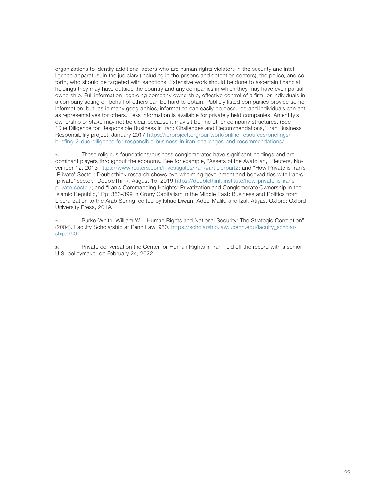<span id="page-28-0"></span>organizations to identify additional actors who are human rights violators in the security and intelligence apparatus, in the judiciary (including in the prisons and detention centers), the police, and so forth, who should be targeted with sanctions. Extensive work should be done to ascertain financial holdings they may have outside the country and any companies in which they may have even partial ownership. Full information regarding company ownership, effective control of a firm, or individuals in a company acting on behalf of others can be hard to obtain. Publicly listed companies provide some information, but, as in many geographies, information can easily be obscured and individuals can act as representatives for others. Less information is available for privately held companies. An entity's ownership or stake may not be clear because it may sit behind other company structures. (See "Due Diligence for Responsible Business in Iran: Challenges and Recommendations," Iran Business Responsibility project, January 2017 [https://ibrproject.org/our-work/online-resources/briefings/](https://ibrproject.org/our-work/online-resources/briefings/briefing-2-due-diligence-for-responsible-business-in-iran-challenges-and-recommendations/) [briefing-2-due-diligence-for-responsible-business-in-iran-challenges-and-recommendations/](https://ibrproject.org/our-work/online-resources/briefings/briefing-2-due-diligence-for-responsible-business-in-iran-challenges-and-recommendations/)

28 These religious foundations/business conglomerates have significant holdings and are dominant players throughout the economy. See for example, "Assets of the Ayatollah," Reuters, November 12, 2013 https://www.reuters.com/investigates/iran/#article/part2; and "How Private is Iran's 'Private' Sector: Doublethink research shows overwhelming government and bonyad ties with Iran›s 'private' sector," DoubleThink, August 15, 2019 [https://doublethink.institute/how-private-is-irans](https://doublethink.institute/how-private-is-irans-private-sector/)[private-sector/;](https://doublethink.institute/how-private-is-irans-private-sector/) and "Iran's Commanding Heights: Privatization and Conglomerate Ownership in the Islamic Republic," Pp. 363-399 in [Crony Capitalism in the Middle East: Business and Politics from](https://www.oxfordscholarship.com/view/10.1093/oso/9780198799870.001.0001/oso-9780198799870-chapter-15)  [Liberalization to the Arab Spring](https://www.oxfordscholarship.com/view/10.1093/oso/9780198799870.001.0001/oso-9780198799870-chapter-15), edited by Ishac Diwan, Adeel Malik, and Izak Atiyas. Oxford: Oxford University Press, 2019.

29 Burke-White, William W., "Human Rights and National Security: The Strategic Correlation" (2004). Faculty Scholarship at Penn Law. 960. [https://scholarship.law.upenn.edu/faculty\\_scholar](https://scholarship.law.upenn.edu/faculty_scholarship/960)[ship/960](https://scholarship.law.upenn.edu/faculty_scholarship/960)

30 Private conversation the Center for Human Rights in Iran held off the record with a senior U.S. policymaker on February 24, 2022.